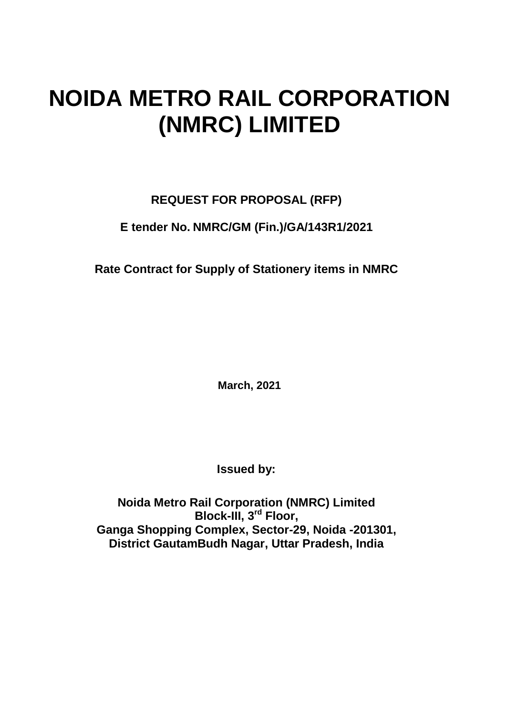# **NOIDA METRO RAIL CORPORATION (NMRC) LIMITED**

# **REQUEST FOR PROPOSAL (RFP)**

# **E tender No. NMRC/GM (Fin.)/GA/143R1/2021**

**Rate Contract for Supply of Stationery items in NMRC**

**March, 2021**

**Issued by:**

**Noida Metro Rail Corporation (NMRC) Limited Block-III, 3rd Floor, Ganga Shopping Complex, Sector-29, Noida -201301, District GautamBudh Nagar, Uttar Pradesh, India**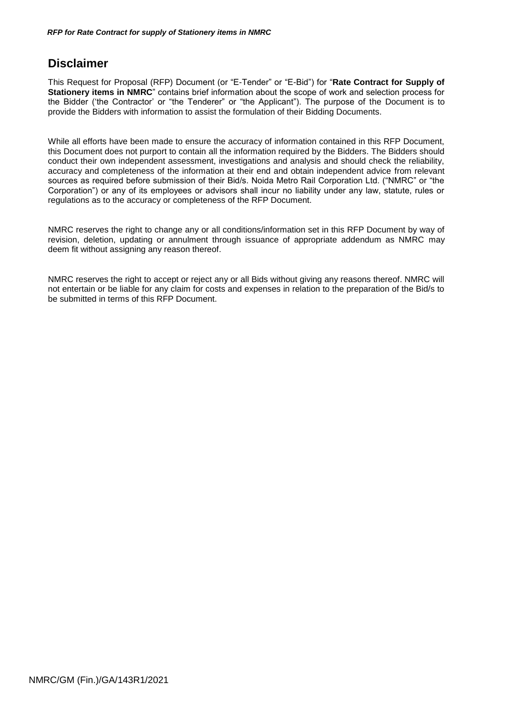# <span id="page-1-0"></span>**Disclaimer**

This Request for Proposal (RFP) Document (or "E-Tender" or "E-Bid") for "**Rate Contract for Supply of Stationery items in NMRC**" contains brief information about the scope of work and selection process for the Bidder ("the Contractor" or "the Tenderer" or "the Applicant"). The purpose of the Document is to provide the Bidders with information to assist the formulation of their Bidding Documents.

While all efforts have been made to ensure the accuracy of information contained in this RFP Document, this Document does not purport to contain all the information required by the Bidders. The Bidders should conduct their own independent assessment, investigations and analysis and should check the reliability, accuracy and completeness of the information at their end and obtain independent advice from relevant sources as required before submission of their Bid/s. Noida Metro Rail Corporation Ltd. ("NMRC" or "the Corporation") or any of its employees or advisors shall incur no liability under any law, statute, rules or regulations as to the accuracy or completeness of the RFP Document.

NMRC reserves the right to change any or all conditions/information set in this RFP Document by way of revision, deletion, updating or annulment through issuance of appropriate addendum as NMRC may deem fit without assigning any reason thereof.

NMRC reserves the right to accept or reject any or all Bids without giving any reasons thereof. NMRC will not entertain or be liable for any claim for costs and expenses in relation to the preparation of the Bid/s to be submitted in terms of this RFP Document.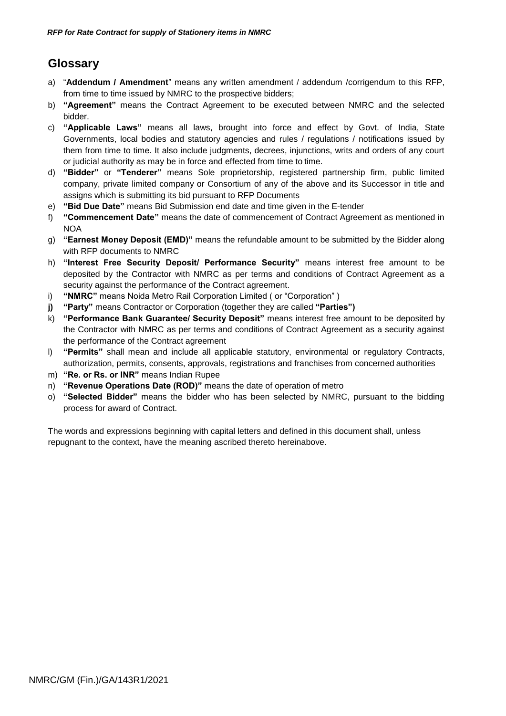# **Glossary**

- a) "**Addendum / Amendment**" means any written amendment / addendum /corrigendum to this RFP, from time to time issued by NMRC to the prospective bidders;
- b) **"Agreement"** means the Contract Agreement to be executed between NMRC and the selected bidder.
- c) **"Applicable Laws"** means all laws, brought into force and effect by Govt. of India, State Governments, local bodies and statutory agencies and rules / regulations / notifications issued by them from time to time. It also include judgments, decrees, injunctions, writs and orders of any court or judicial authority as may be in force and effected from time to time.
- d) **"Bidder"** or **"Tenderer"** means Sole proprietorship, registered partnership firm, public limited company, private limited company or Consortium of any of the above and its Successor in title and assigns which is submitting its bid pursuant to RFP Documents
- e) **"Bid Due Date"** means Bid Submission end date and time given in the E-tender
- f) **"Commencement Date"** means the date of commencement of Contract Agreement as mentioned in **NOA**
- g) **"Earnest Money Deposit (EMD)"** means the refundable amount to be submitted by the Bidder along with RFP documents to NMRC
- h) **"Interest Free Security Deposit/ Performance Security"** means interest free amount to be deposited by the Contractor with NMRC as per terms and conditions of Contract Agreement as a security against the performance of the Contract agreement.
- i) **"NMRC"** means Noida Metro Rail Corporation Limited ( or "Corporation" )
- **j) "Party"** means Contractor or Corporation (together they are called **"Parties")**
- k) **"Performance Bank Guarantee/ Security Deposit"** means interest free amount to be deposited by the Contractor with NMRC as per terms and conditions of Contract Agreement as a security against the performance of the Contract agreement
- l) **"Permits"** shall mean and include all applicable statutory, environmental or regulatory Contracts, authorization, permits, consents, approvals, registrations and franchises from concerned authorities
- m) **"Re. or Rs. or INR"** means Indian Rupee
- n) **"Revenue Operations Date (ROD)"** means the date of operation of metro
- o) **"Selected Bidder"** means the bidder who has been selected by NMRC, pursuant to the bidding process for award of Contract.

The words and expressions beginning with capital letters and defined in this document shall, unless repugnant to the context, have the meaning ascribed thereto hereinabove.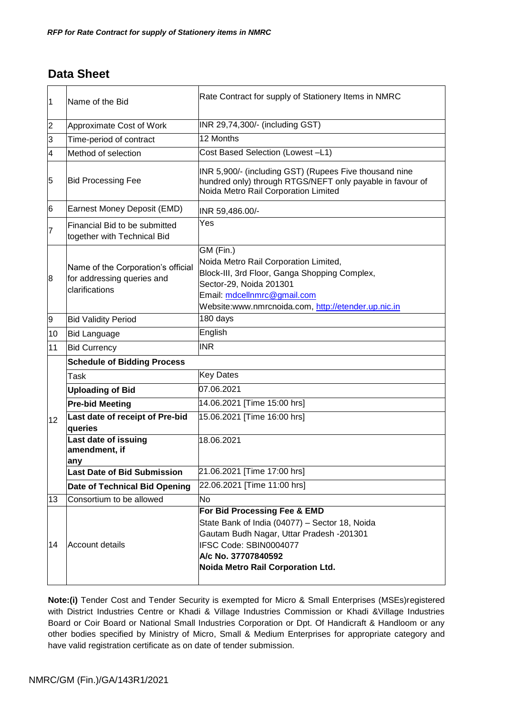# <span id="page-3-0"></span>**Data Sheet**

| $\vert$ 1      | Name of the Bid                                                                    | Rate Contract for supply of Stationery Items in NMRC                                                                                                                                                                 |  |  |  |  |
|----------------|------------------------------------------------------------------------------------|----------------------------------------------------------------------------------------------------------------------------------------------------------------------------------------------------------------------|--|--|--|--|
| $\overline{2}$ | Approximate Cost of Work                                                           | INR 29,74,300/- (including GST)                                                                                                                                                                                      |  |  |  |  |
| 3              | Time-period of contract                                                            | 12 Months                                                                                                                                                                                                            |  |  |  |  |
| 4              | Method of selection                                                                | Cost Based Selection (Lowest-L1)                                                                                                                                                                                     |  |  |  |  |
| 5              | <b>Bid Processing Fee</b>                                                          | INR 5,900/- (including GST) (Rupees Five thousand nine<br>hundred only) through RTGS/NEFT only payable in favour of<br>Noida Metro Rail Corporation Limited                                                          |  |  |  |  |
| 6              | Earnest Money Deposit (EMD)                                                        | INR 59,486.00/-                                                                                                                                                                                                      |  |  |  |  |
| 7              | Financial Bid to be submitted<br>together with Technical Bid                       | Yes                                                                                                                                                                                                                  |  |  |  |  |
| 8              | Name of the Corporation's official<br>for addressing queries and<br>clarifications | GM (Fin.)<br>Noida Metro Rail Corporation Limited,<br>Block-III, 3rd Floor, Ganga Shopping Complex,<br>Sector-29, Noida 201301<br>Email: mdcellnmrc@gmail.com<br>Website:www.nmrcnoida.com, http://etender.up.nic.in |  |  |  |  |
| 9              | <b>Bid Validity Period</b>                                                         | 180 days                                                                                                                                                                                                             |  |  |  |  |
| 10             | <b>Bid Language</b>                                                                | English                                                                                                                                                                                                              |  |  |  |  |
| 11             | <b>Bid Currency</b>                                                                | <b>INR</b>                                                                                                                                                                                                           |  |  |  |  |
|                | <b>Schedule of Bidding Process</b>                                                 |                                                                                                                                                                                                                      |  |  |  |  |
|                | Task                                                                               | <b>Key Dates</b>                                                                                                                                                                                                     |  |  |  |  |
|                | <b>Uploading of Bid</b>                                                            | 07.06.2021                                                                                                                                                                                                           |  |  |  |  |
|                | <b>Pre-bid Meeting</b>                                                             | 14.06.2021 [Time 15:00 hrs]                                                                                                                                                                                          |  |  |  |  |
| 12             | Last date of receipt of Pre-bid<br>queries                                         | 15.06.2021 [Time 16:00 hrs]                                                                                                                                                                                          |  |  |  |  |
|                | Last date of issuing<br>amendment, if<br>any                                       | 18.06.2021                                                                                                                                                                                                           |  |  |  |  |
|                | <b>Last Date of Bid Submission</b>                                                 | 21.06.2021 [Time 17:00 hrs]                                                                                                                                                                                          |  |  |  |  |
|                | Date of Technical Bid Opening                                                      | 22.06.2021 [Time 11:00 hrs]                                                                                                                                                                                          |  |  |  |  |
| 13             | Consortium to be allowed                                                           | No                                                                                                                                                                                                                   |  |  |  |  |
| 14             | Account details                                                                    | For Bid Processing Fee & EMD<br>State Bank of India (04077) - Sector 18, Noida<br>Gautam Budh Nagar, Uttar Pradesh -201301<br>IFSC Code: SBIN0004077<br>A/c No. 37707840592<br>Noida Metro Rail Corporation Ltd.     |  |  |  |  |

**Note:(i)** Tender Cost and Tender Security is exempted for Micro & Small Enterprises (MSEs)registered with District Industries Centre or Khadi & Village Industries Commission or Khadi &Village Industries Board or Coir Board or National Small Industries Corporation or Dpt. Of Handicraft & Handloom or any other bodies specified by Ministry of Micro, Small & Medium Enterprises for appropriate category and have valid registration certificate as on date of tender submission.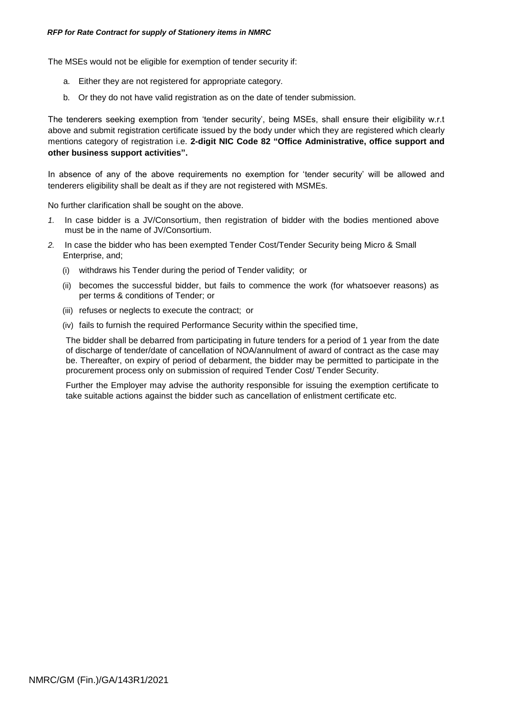The MSEs would not be eligible for exemption of tender security if:

- a. Either they are not registered for appropriate category.
- b. Or they do not have valid registration as on the date of tender submission.

The tenderers seeking exemption from 'tender security', being MSEs, shall ensure their eligibility w.r.t above and submit registration certificate issued by the body under which they are registered which clearly mentions category of registration i.e. **2-digit NIC Code 82 "Office Administrative, office support and other business support activities".**

In absence of any of the above requirements no exemption for "tender security" will be allowed and tenderers eligibility shall be dealt as if they are not registered with MSMEs.

No further clarification shall be sought on the above.

- *1.* In case bidder is a JV/Consortium, then registration of bidder with the bodies mentioned above must be in the name of JV/Consortium.
- *2.* In case the bidder who has been exempted Tender Cost/Tender Security being Micro & Small Enterprise, and;
	- (i) withdraws his Tender during the period of Tender validity; or
	- (ii) becomes the successful bidder, but fails to commence the work (for whatsoever reasons) as per terms & conditions of Tender; or
	- (iii) refuses or neglects to execute the contract; or
	- (iv) fails to furnish the required Performance Security within the specified time,

The bidder shall be debarred from participating in future tenders for a period of 1 year from the date of discharge of tender/date of cancellation of NOA/annulment of award of contract as the case may be. Thereafter, on expiry of period of debarment, the bidder may be permitted to participate in the procurement process only on submission of required Tender Cost/ Tender Security.

Further the Employer may advise the authority responsible for issuing the exemption certificate to take suitable actions against the bidder such as cancellation of enlistment certificate etc.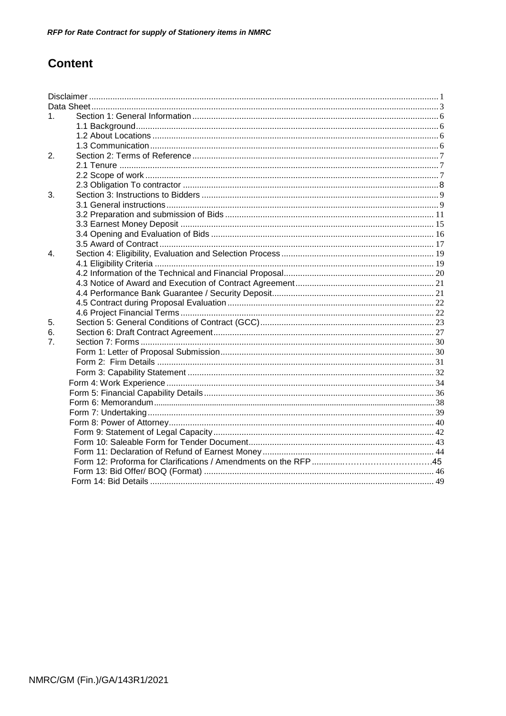# **Content**

| $\mathbf{1}$ . |  |
|----------------|--|
|                |  |
|                |  |
|                |  |
| 2.             |  |
|                |  |
|                |  |
|                |  |
| 3.             |  |
|                |  |
|                |  |
|                |  |
|                |  |
|                |  |
| $\mathbf{4}$   |  |
|                |  |
|                |  |
|                |  |
|                |  |
|                |  |
|                |  |
| 5.             |  |
| 6.             |  |
| 7 <sub>1</sub> |  |
|                |  |
|                |  |
|                |  |
|                |  |
|                |  |
|                |  |
|                |  |
|                |  |
|                |  |
|                |  |
|                |  |
|                |  |
|                |  |
|                |  |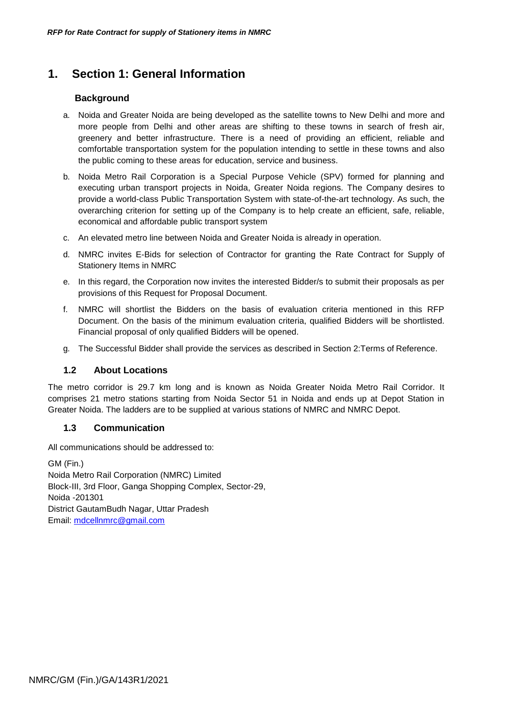# <span id="page-6-1"></span><span id="page-6-0"></span>**1. Section 1: General Information**

# **Background**

- a. Noida and Greater Noida are being developed as the satellite towns to New Delhi and more and more people from Delhi and other areas are shifting to these towns in search of fresh air, greenery and better infrastructure. There is a need of providing an efficient, reliable and comfortable transportation system for the population intending to settle in these towns and also the public coming to these areas for education, service and business.
- b. Noida Metro Rail Corporation is a Special Purpose Vehicle (SPV) formed for planning and executing urban transport projects in Noida, Greater Noida regions. The Company desires to provide a world-class Public Transportation System with state-of-the-art technology. As such, the overarching criterion for setting up of the Company is to help create an efficient, safe, reliable, economical and affordable public transport system
- c. An elevated metro line between Noida and Greater Noida is already in operation.
- d. NMRC invites E-Bids for selection of Contractor for granting the Rate Contract for Supply of Stationery Items in NMRC
- e. In this regard, the Corporation now invites the interested Bidder/s to submit their proposals as per provisions of this Request for Proposal Document.
- f. NMRC will shortlist the Bidders on the basis of evaluation criteria mentioned in this RFP Document. On the basis of the minimum evaluation criteria, qualified Bidders will be shortlisted. Financial proposal of only qualified Bidders will be opened.
- g. The Successful Bidder shall provide the services as described in Section 2:Terms of Reference.

### **1.2 About Locations**

<span id="page-6-2"></span>The metro corridor is 29.7 km long and is known as Noida Greater Noida Metro Rail Corridor. It comprises 21 metro stations starting from Noida Sector 51 in Noida and ends up at Depot Station in Greater Noida. The ladders are to be supplied at various stations of NMRC and NMRC Depot.

### **1.3 Communication**

All communications should be addressed to:

GM (Fin.) Noida Metro Rail Corporation (NMRC) Limited Block-III, 3rd Floor, Ganga Shopping Complex, Sector-29, Noida -201301 District GautamBudh Nagar, Uttar Pradesh Email: [mdcellnmrc@gmail.com](mailto:mdcellnmrc@gmail.com)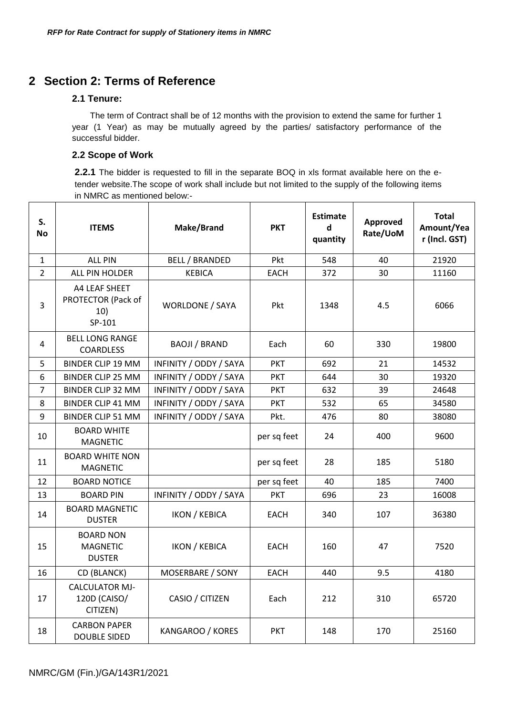# <span id="page-7-1"></span><span id="page-7-0"></span>**2 Section 2: Terms of Reference**

# **2.1 Tenure:**

The term of Contract shall be of 12 months with the provision to extend the same for further 1 year (1 Year) as may be mutually agreed by the parties/ satisfactory performance of the successful bidder.

# **2.2 Scope of Work**

**2.2.1** The bidder is requested to fill in the separate BOQ in xls format available here on the etender website.The scope of work shall include but not limited to the supply of the following items in NMRC as mentioned below:-

| S.<br>No       | <b>ITEMS</b>                                         | Make/Brand             | <b>PKT</b>  | <b>Estimate</b><br>d<br>quantity | Approved<br>Rate/UoM | <b>Total</b><br>Amount/Yea<br>r (Incl. GST) |
|----------------|------------------------------------------------------|------------------------|-------------|----------------------------------|----------------------|---------------------------------------------|
| $\mathbf{1}$   | <b>ALL PIN</b>                                       | <b>BELL / BRANDED</b>  | Pkt         | 548                              | 40                   | 21920                                       |
| $\overline{2}$ | ALL PIN HOLDER                                       | <b>KEBICA</b>          | <b>EACH</b> | 372                              | 30                   | 11160                                       |
| 3              | A4 LEAF SHEET<br>PROTECTOR (Pack of<br>10)<br>SP-101 | <b>WORLDONE / SAYA</b> | Pkt         | 1348                             | 4.5                  | 6066                                        |
| 4              | <b>BELL LONG RANGE</b><br><b>COARDLESS</b>           | <b>BAOJI / BRAND</b>   | Each        | 60                               | 330                  | 19800                                       |
| 5              | BINDER CLIP 19 MM                                    | INFINITY / ODDY / SAYA | <b>PKT</b>  | 692                              | 21                   | 14532                                       |
| 6              | <b>BINDER CLIP 25 MM</b>                             | INFINITY / ODDY / SAYA | <b>PKT</b>  | 644                              | 30                   | 19320                                       |
| $\overline{7}$ | <b>BINDER CLIP 32 MM</b>                             | INFINITY / ODDY / SAYA | <b>PKT</b>  | 632                              | 39                   | 24648                                       |
| 8              | <b>BINDER CLIP 41 MM</b>                             | INFINITY / ODDY / SAYA | <b>PKT</b>  | 532                              | 65                   | 34580                                       |
| 9              | <b>BINDER CLIP 51 MM</b>                             | INFINITY / ODDY / SAYA | Pkt.        | 476                              | 80                   | 38080                                       |
| 10             | <b>BOARD WHITE</b><br><b>MAGNETIC</b>                |                        | per sq feet | 24                               | 400                  | 9600                                        |
| 11             | <b>BOARD WHITE NON</b><br><b>MAGNETIC</b>            |                        | per sq feet | 28                               | 185                  | 5180                                        |
| 12             | <b>BOARD NOTICE</b>                                  |                        | per sq feet | 40                               | 185                  | 7400                                        |
| 13             | <b>BOARD PIN</b>                                     | INFINITY / ODDY / SAYA | <b>PKT</b>  | 696                              | 23                   | 16008                                       |
| 14             | <b>BOARD MAGNETIC</b><br><b>DUSTER</b>               | <b>IKON / KEBICA</b>   | EACH        | 340                              | 107                  | 36380                                       |
| 15             | <b>BOARD NON</b><br><b>MAGNETIC</b><br><b>DUSTER</b> | <b>IKON / KEBICA</b>   | <b>EACH</b> | 160                              | 47                   | 7520                                        |
| 16             | CD (BLANCK)                                          | MOSERBARE / SONY       | <b>EACH</b> | 440                              | 9.5                  | 4180                                        |
| 17             | <b>CALCULATOR MJ-</b><br>120D (CAISO/<br>CITIZEN)    | CASIO / CITIZEN        | Each        | 212                              | 310                  | 65720                                       |
| 18             | <b>CARBON PAPER</b><br><b>DOUBLE SIDED</b>           | KANGAROO / KORES       | <b>PKT</b>  | 148                              | 170                  | 25160                                       |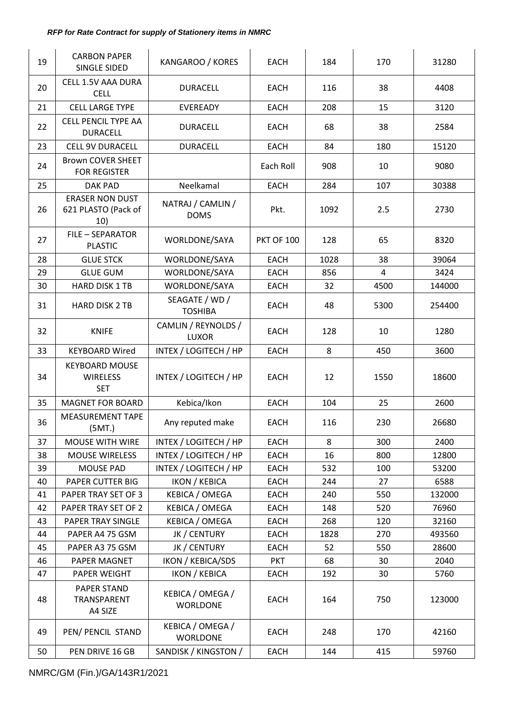| 19       | <b>CARBON PAPER</b><br>SINGLE SIDED                    | KANGAROO / KORES                    | <b>EACH</b>               | 184        | 170        | 31280         |
|----------|--------------------------------------------------------|-------------------------------------|---------------------------|------------|------------|---------------|
| 20       | <b>CELL 1.5V AAA DURA</b><br><b>CELL</b>               | <b>DURACELL</b>                     | <b>EACH</b>               | 116        | 38         | 4408          |
| 21       | <b>CELL LARGE TYPE</b>                                 | EVEREADY                            | <b>EACH</b>               | 208        | 15         | 3120          |
| 22       | <b>CELL PENCIL TYPE AA</b><br><b>DURACELL</b>          | <b>DURACELL</b>                     | <b>EACH</b>               | 68         | 38         | 2584          |
| 23       | <b>CELL 9V DURACELL</b>                                | <b>DURACELL</b>                     | <b>EACH</b>               | 84         | 180        | 15120         |
| 24       | <b>Brown COVER SHEET</b><br><b>FOR REGISTER</b>        |                                     | Each Roll                 | 908        | 10         | 9080          |
| 25       | <b>DAK PAD</b>                                         | Neelkamal                           | <b>EACH</b>               | 284        | 107        | 30388         |
| 26       | <b>ERASER NON DUST</b><br>621 PLASTO (Pack of<br>10)   | NATRAJ / CAMLIN /<br><b>DOMS</b>    | Pkt.                      | 1092       | 2.5        | 2730          |
| 27       | <b>FILE - SEPARATOR</b><br><b>PLASTIC</b>              | WORLDONE/SAYA                       | <b>PKT OF 100</b>         | 128        | 65         | 8320          |
| 28       | <b>GLUE STCK</b>                                       | WORLDONE/SAYA                       | <b>EACH</b>               | 1028       | 38         | 39064         |
| 29       | <b>GLUE GUM</b>                                        | WORLDONE/SAYA                       | <b>EACH</b>               | 856        | 4          | 3424          |
| 30       | HARD DISK 1 TB                                         | WORLDONE/SAYA                       | <b>EACH</b>               | 32         | 4500       | 144000        |
| 31       | <b>HARD DISK 2 TB</b>                                  | SEAGATE / WD /<br><b>TOSHIBA</b>    | <b>EACH</b>               | 48         | 5300       | 254400        |
| 32       | <b>KNIFE</b>                                           | CAMLIN / REYNOLDS /<br><b>LUXOR</b> | <b>EACH</b>               | 128        | 10         | 1280          |
| 33       | <b>KEYBOARD Wired</b>                                  | INTEX / LOGITECH / HP               | <b>EACH</b>               | 8          | 450        | 3600          |
| 34       | <b>KEYBOARD MOUSE</b><br><b>WIRELESS</b><br><b>SET</b> | INTEX / LOGITECH / HP               | <b>EACH</b>               | 12         | 1550       | 18600         |
| 35       | <b>MAGNET FOR BOARD</b>                                | Kebica/Ikon                         | EACH                      | 104        | 25         | 2600          |
| 36       | <b>MEASUREMENT TAPE</b><br>(5MT.)                      | Any reputed make                    | <b>EACH</b>               | 116        | 230        | 26680         |
| 37       | <b>MOUSE WITH WIRE</b>                                 | INTEX / LOGITECH / HP               | <b>EACH</b>               | 8          | 300        | 2400          |
| 38       | <b>MOUSE WIRELESS</b>                                  | INTEX / LOGITECH / HP               | <b>EACH</b>               | 16         | 800        | 12800         |
| 39       | <b>MOUSE PAD</b>                                       | INTEX / LOGITECH / HP               | <b>EACH</b>               | 532        | 100        | 53200         |
| 40       | PAPER CUTTER BIG                                       | <b>IKON / KEBICA</b>                | <b>EACH</b>               | 244        | 27         | 6588          |
| 41       | PAPER TRAY SET OF 3                                    | <b>KEBICA / OMEGA</b>               | <b>EACH</b>               | 240        | 550        | 132000        |
| 42       | PAPER TRAY SET OF 2                                    | KEBICA / OMEGA                      | <b>EACH</b>               | 148        | 520        | 76960         |
| 43       | PAPER TRAY SINGLE                                      | KEBICA / OMEGA                      | <b>EACH</b>               | 268        | 120        | 32160         |
| 44<br>45 | PAPER A4 75 GSM<br>PAPER A3 75 GSM                     | JK / CENTURY                        | <b>EACH</b>               | 1828<br>52 | 270<br>550 | 493560        |
| 46       | PAPER MAGNET                                           | JK / CENTURY<br>IKON / KEBICA/SDS   | <b>EACH</b><br><b>PKT</b> | 68         | 30         | 28600<br>2040 |
| 47       | PAPER WEIGHT                                           | <b>IKON / KEBICA</b>                | <b>EACH</b>               | 192        | 30         | 5760          |
| 48       | PAPER STAND<br>TRANSPARENT<br>A4 SIZE                  | KEBICA / OMEGA /<br><b>WORLDONE</b> | <b>EACH</b>               | 164        | 750        | 123000        |
| 49       | PEN/ PENCIL STAND                                      | KEBICA / OMEGA /<br><b>WORLDONE</b> | <b>EACH</b>               | 248        | 170        | 42160         |
| 50       | PEN DRIVE 16 GB                                        | SANDISK / KINGSTON /                | <b>EACH</b>               | 144        | 415        | 59760         |

NMRC/GM (Fin.)/GA/143R1/2021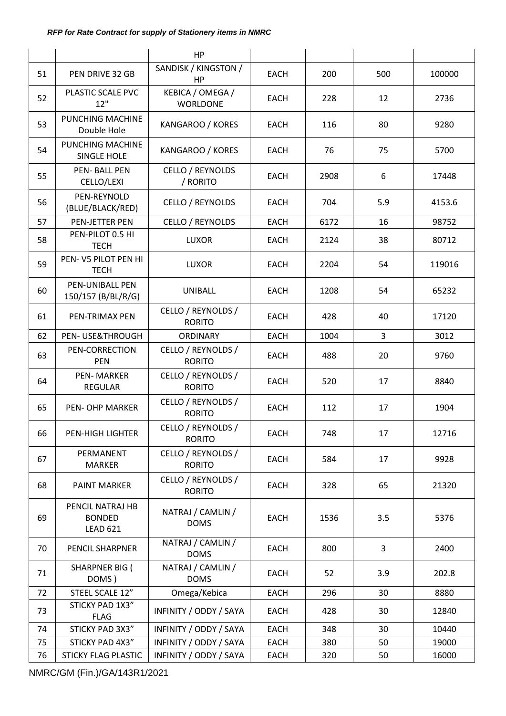|    |                                                      | HP                                           |                          |      |       |        |
|----|------------------------------------------------------|----------------------------------------------|--------------------------|------|-------|--------|
| 51 | PEN DRIVE 32 GB                                      | SANDISK / KINGSTON /<br><b>HP</b>            | <b>EACH</b>              | 200  | 500   | 100000 |
| 52 | PLASTIC SCALE PVC<br>12"                             | KEBICA / OMEGA /<br><b>WORLDONE</b>          | <b>EACH</b>              | 228  | 12    | 2736   |
| 53 | PUNCHING MACHINE<br>Double Hole                      | KANGAROO / KORES<br>80<br><b>EACH</b><br>116 |                          | 9280 |       |        |
| 54 | <b>PUNCHING MACHINE</b><br><b>SINGLE HOLE</b>        | KANGAROO / KORES<br>75<br><b>EACH</b><br>76  |                          | 5700 |       |        |
| 55 | <b>PEN-BALL PEN</b><br>CELLO/LEXI                    | <b>CELLO / REYNOLDS</b><br>/ RORITO          | <b>EACH</b>              | 2908 | 6     | 17448  |
| 56 | PEN-REYNOLD<br>(BLUE/BLACK/RED)                      | CELLO / REYNOLDS                             | <b>EACH</b>              | 704  | 5.9   | 4153.6 |
| 57 | PEN-JETTER PEN                                       | <b>CELLO / REYNOLDS</b>                      | <b>EACH</b>              | 6172 | 16    | 98752  |
| 58 | PEN-PILOT 0.5 HI<br><b>TECH</b>                      | <b>LUXOR</b>                                 | <b>EACH</b>              | 2124 | 38    | 80712  |
| 59 | PEN-V5 PILOT PEN HI<br><b>TECH</b>                   | <b>LUXOR</b>                                 | <b>EACH</b>              | 2204 | 54    | 119016 |
| 60 | PEN-UNIBALL PEN<br>150/157 (B/BL/R/G)                | UNIBALL                                      | <b>EACH</b>              | 1208 | 54    | 65232  |
| 61 | PEN-TRIMAX PEN                                       | CELLO / REYNOLDS /<br><b>RORITO</b>          | <b>EACH</b><br>428<br>40 |      | 17120 |        |
| 62 | PEN- USE&THROUGH                                     | <b>ORDINARY</b>                              | 3<br><b>EACH</b><br>1004 |      | 3012  |        |
| 63 | PEN-CORRECTION<br>PEN                                | CELLO / REYNOLDS /<br><b>RORITO</b>          | <b>EACH</b>              | 488  | 20    | 9760   |
| 64 | <b>PEN-MARKER</b><br><b>REGULAR</b>                  | CELLO / REYNOLDS /<br><b>RORITO</b>          | <b>EACH</b><br>520<br>17 |      | 8840  |        |
| 65 | <b>PEN- OHP MARKER</b>                               | CELLO / REYNOLDS /<br><b>RORITO</b>          | 17<br><b>EACH</b><br>112 |      | 1904  |        |
| 66 | PEN-HIGH LIGHTER                                     | CELLO / REYNOLDS /<br><b>RORITO</b>          | <b>EACH</b>              | 748  | 17    | 12716  |
| 67 | PERMANENT<br><b>MARKER</b>                           | CELLO / REYNOLDS /<br><b>RORITO</b>          | <b>EACH</b>              | 584  | 17    | 9928   |
| 68 | <b>PAINT MARKER</b>                                  | CELLO / REYNOLDS /<br><b>RORITO</b>          | <b>EACH</b>              | 328  | 65    | 21320  |
| 69 | PENCIL NATRAJ HB<br><b>BONDED</b><br><b>LEAD 621</b> | NATRAJ / CAMLIN /<br><b>DOMS</b>             | <b>EACH</b>              | 1536 | 3.5   | 5376   |
| 70 | PENCIL SHARPNER                                      | NATRAJ / CAMLIN /<br><b>DOMS</b>             | <b>EACH</b>              | 800  | 3     | 2400   |
| 71 | <b>SHARPNER BIG (</b><br>DOMS)                       | NATRAJ / CAMLIN /<br><b>DOMS</b>             | <b>EACH</b>              | 52   | 3.9   | 202.8  |
| 72 | STEEL SCALE 12"                                      | Omega/Kebica                                 | <b>EACH</b>              | 296  | 30    | 8880   |
| 73 | STICKY PAD 1X3"<br><b>FLAG</b>                       | INFINITY / ODDY / SAYA                       | <b>EACH</b>              | 428  | 30    | 12840  |
| 74 | STICKY PAD 3X3"                                      | INFINITY / ODDY / SAYA                       | <b>EACH</b>              | 348  | 30    | 10440  |
| 75 | STICKY PAD 4X3"                                      | INFINITY / ODDY / SAYA                       | <b>EACH</b>              | 380  | 50    | 19000  |
| 76 | <b>STICKY FLAG PLASTIC</b>                           | INFINITY / ODDY / SAYA                       | EACH                     | 320  | 50    | 16000  |

NMRC/GM (Fin.)/GA/143R1/2021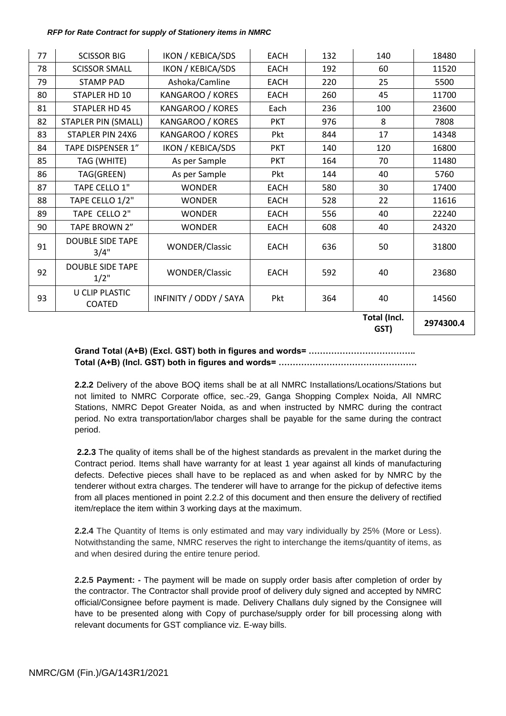| 77 | <b>SCISSOR BIG</b>                     | IKON / KEBICA/SDS        | <b>EACH</b> | 132 | 140                  | 18480     |
|----|----------------------------------------|--------------------------|-------------|-----|----------------------|-----------|
| 78 | <b>SCISSOR SMALL</b>                   | <b>IKON / KEBICA/SDS</b> | <b>EACH</b> | 192 | 60                   | 11520     |
| 79 | <b>STAMP PAD</b>                       | Ashoka/Camline           | <b>EACH</b> | 220 | 25                   | 5500      |
| 80 | STAPLER HD 10                          | KANGAROO / KORES         | <b>EACH</b> | 260 | 45                   | 11700     |
| 81 | <b>STAPLER HD 45</b>                   | KANGAROO / KORES         | Each        | 236 | 100                  | 23600     |
| 82 | <b>STAPLER PIN (SMALL)</b>             | KANGAROO / KORES         | <b>PKT</b>  | 976 | 8                    | 7808      |
| 83 | STAPLER PIN 24X6                       | KANGAROO / KORES         | Pkt         | 844 | 17                   | 14348     |
| 84 | <b>TAPE DISPENSER 1"</b>               | <b>IKON / KEBICA/SDS</b> | <b>PKT</b>  | 140 | 120                  | 16800     |
| 85 | TAG (WHITE)                            | As per Sample            | <b>PKT</b>  | 164 | 70                   | 11480     |
| 86 | TAG(GREEN)                             | As per Sample            | Pkt         | 144 | 40                   | 5760      |
| 87 | TAPE CELLO 1"                          | <b>WONDER</b>            | <b>EACH</b> | 580 | 30                   | 17400     |
| 88 | TAPE CELLO 1/2"                        | <b>WONDER</b>            | <b>EACH</b> | 528 | 22                   | 11616     |
| 89 | TAPE CELLO 2"                          | <b>WONDER</b>            | <b>EACH</b> | 556 | 40                   | 22240     |
| 90 | TAPE BROWN 2"                          | <b>WONDER</b>            | EACH        | 608 | 40                   | 24320     |
| 91 | <b>DOUBLE SIDE TAPE</b><br>3/4"        | <b>WONDER/Classic</b>    | <b>EACH</b> | 636 | 50                   | 31800     |
| 92 | <b>DOUBLE SIDE TAPE</b><br>$1/2$ "     | <b>WONDER/Classic</b>    | <b>EACH</b> | 592 | 40                   | 23680     |
| 93 | <b>U CLIP PLASTIC</b><br><b>COATED</b> | INFINITY / ODDY / SAYA   | Pkt         | 364 | 40                   | 14560     |
|    |                                        |                          |             |     | Total (Incl.<br>GST) | 2974300.4 |

# **Grand Total (A+B) (Excl. GST) both in figures and words= ……………………………….. Total (A+B) (Incl. GST) both in figures and words= ………………………………………….**

**2.2.2** Delivery of the above BOQ items shall be at all NMRC Installations/Locations/Stations but not limited to NMRC Corporate office, sec.-29, Ganga Shopping Complex Noida, All NMRC Stations, NMRC Depot Greater Noida, as and when instructed by NMRC during the contract period. No extra transportation/labor charges shall be payable for the same during the contract period.

**2.2.3** The quality of items shall be of the highest standards as prevalent in the market during the Contract period. Items shall have warranty for at least 1 year against all kinds of manufacturing defects. Defective pieces shall have to be replaced as and when asked for by NMRC by the tenderer without extra charges. The tenderer will have to arrange for the pickup of defective items from all places mentioned in point 2.2.2 of this document and then ensure the delivery of rectified item/replace the item within 3 working days at the maximum.

**2.2.4** The Quantity of Items is only estimated and may vary individually by 25% (More or Less). Notwithstanding the same, NMRC reserves the right to interchange the items/quantity of items, as and when desired during the entire tenure period.

<span id="page-10-0"></span> **2.2.5 Payment: -** The payment will be made on supply order basis after completion of order by the contractor. The Contractor shall provide proof of delivery duly signed and accepted by NMRC official/Consignee before payment is made. Delivery Challans duly signed by the Consignee will have to be presented along with Copy of purchase/supply order for bill processing along with relevant documents for GST compliance viz. E-way bills.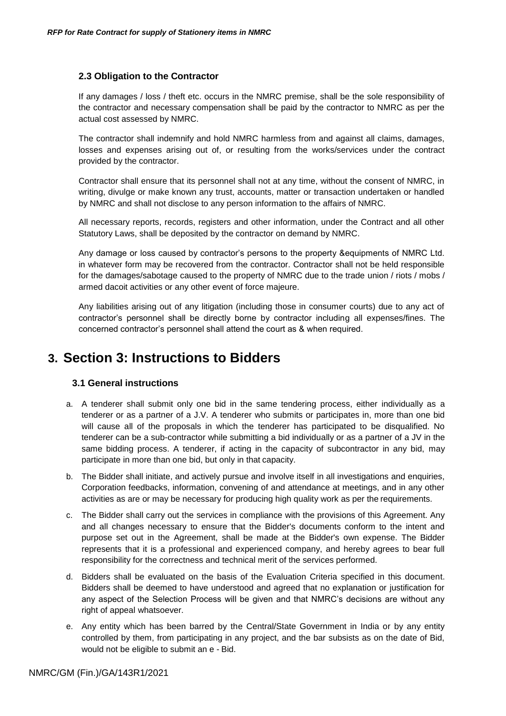# **2.3 Obligation to the Contractor**

If any damages / loss / theft etc. occurs in the NMRC premise, shall be the sole responsibility of the contractor and necessary compensation shall be paid by the contractor to NMRC as per the actual cost assessed by NMRC.

The contractor shall indemnify and hold NMRC harmless from and against all claims, damages, losses and expenses arising out of, or resulting from the works/services under the contract provided by the contractor.

Contractor shall ensure that its personnel shall not at any time, without the consent of NMRC, in writing, divulge or make known any trust, accounts, matter or transaction undertaken or handled by NMRC and shall not disclose to any person information to the affairs of NMRC.

All necessary reports, records, registers and other information, under the Contract and all other Statutory Laws, shall be deposited by the contractor on demand by NMRC.

Any damage or loss caused by contractor"s persons to the property &equipments of NMRC Ltd. in whatever form may be recovered from the contractor. Contractor shall not be held responsible for the damages/sabotage caused to the property of NMRC due to the trade union / riots / mobs / armed dacoit activities or any other event of force majeure.

Any liabilities arising out of any litigation (including those in consumer courts) due to any act of contractor"s personnel shall be directly borne by contractor including all expenses/fines. The concerned contractor"s personnel shall attend the court as & when required.

# <span id="page-11-2"></span><span id="page-11-1"></span><span id="page-11-0"></span>**3. Section 3: Instructions to Bidders**

# **3.1 General instructions**

- a. A tenderer shall submit only one bid in the same tendering process, either individually as a tenderer or as a partner of a J.V. A tenderer who submits or participates in, more than one bid will cause all of the proposals in which the tenderer has participated to be disqualified. No tenderer can be a sub-contractor while submitting a bid individually or as a partner of a JV in the same bidding process. A tenderer, if acting in the capacity of subcontractor in any bid, may participate in more than one bid, but only in that capacity.
- b. The Bidder shall initiate, and actively pursue and involve itself in all investigations and enquiries, Corporation feedbacks, information, convening of and attendance at meetings, and in any other activities as are or may be necessary for producing high quality work as per the requirements.
- c. The Bidder shall carry out the services in compliance with the provisions of this Agreement. Any and all changes necessary to ensure that the Bidder's documents conform to the intent and purpose set out in the Agreement, shall be made at the Bidder's own expense. The Bidder represents that it is a professional and experienced company, and hereby agrees to bear full responsibility for the correctness and technical merit of the services performed.
- d. Bidders shall be evaluated on the basis of the Evaluation Criteria specified in this document. Bidders shall be deemed to have understood and agreed that no explanation or justification for any aspect of the Selection Process will be given and that NMRC"s decisions are without any right of appeal whatsoever.
- e. Any entity which has been barred by the Central/State Government in India or by any entity controlled by them, from participating in any project, and the bar subsists as on the date of Bid, would not be eligible to submit an e - Bid.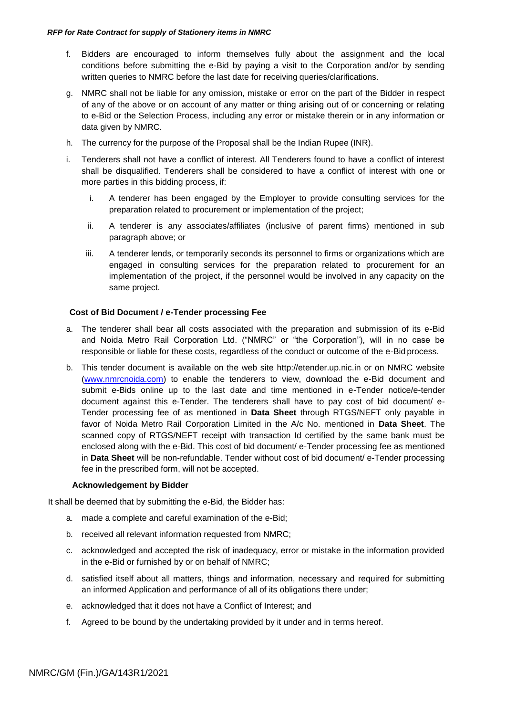- f. Bidders are encouraged to inform themselves fully about the assignment and the local conditions before submitting the e-Bid by paying a visit to the Corporation and/or by sending written queries to NMRC before the last date for receiving queries/clarifications.
- g. NMRC shall not be liable for any omission, mistake or error on the part of the Bidder in respect of any of the above or on account of any matter or thing arising out of or concerning or relating to e-Bid or the Selection Process, including any error or mistake therein or in any information or data given by NMRC.
- h. The currency for the purpose of the Proposal shall be the Indian Rupee (INR).
- i. Tenderers shall not have a conflict of interest. All Tenderers found to have a conflict of interest shall be disqualified. Tenderers shall be considered to have a conflict of interest with one or more parties in this bidding process, if:
	- i. A tenderer has been engaged by the Employer to provide consulting services for the preparation related to procurement or implementation of the project;
	- ii. A tenderer is any associates/affiliates (inclusive of parent firms) mentioned in sub paragraph above; or
	- iii. A tenderer lends, or temporarily seconds its personnel to firms or organizations which are engaged in consulting services for the preparation related to procurement for an implementation of the project, if the personnel would be involved in any capacity on the same project.

# **Cost of Bid Document / e-Tender processing Fee**

- a. The tenderer shall bear all costs associated with the preparation and submission of its e-Bid and Noida Metro Rail Corporation Ltd. ("NMRC" or "the Corporation"), will in no case be responsible or liable for these costs, regardless of the conduct or outcome of the e-Bid process.
- b. This tender document is available on the web site [http://etender.up.nic.in o](http://etender.up.nic.in/)r on NMRC website (www.nmrcnoida.com) to enable the tenderers to view, download the e-Bid document and submit e-Bids online up to the last date and time mentioned in e-Tender notice/e-tender document against this e-Tender. The tenderers shall have to pay cost of bid document/ e-Tender processing fee of as mentioned in **Data Sheet** through RTGS/NEFT only payable in favor of Noida Metro Rail Corporation Limited in the A/c No. mentioned in **Data Sheet**. The scanned copy of RTGS/NEFT receipt with transaction Id certified by the same bank must be enclosed along with the e-Bid. This cost of bid document/ e-Tender processing fee as mentioned in **Data Sheet** will be non-refundable. Tender without cost of bid document/ e-Tender processing fee in the prescribed form, will not be accepted.

### **Acknowledgement by Bidder**

It shall be deemed that by submitting the e-Bid, the Bidder has:

- a. made a complete and careful examination of the e-Bid;
- b. received all relevant information requested from NMRC;
- c. acknowledged and accepted the risk of inadequacy, error or mistake in the information provided in the e-Bid or furnished by or on behalf of NMRC;
- d. satisfied itself about all matters, things and information, necessary and required for submitting an informed Application and performance of all of its obligations there under;
- e. acknowledged that it does not have a Conflict of Interest; and
- f. Agreed to be bound by the undertaking provided by it under and in terms hereof.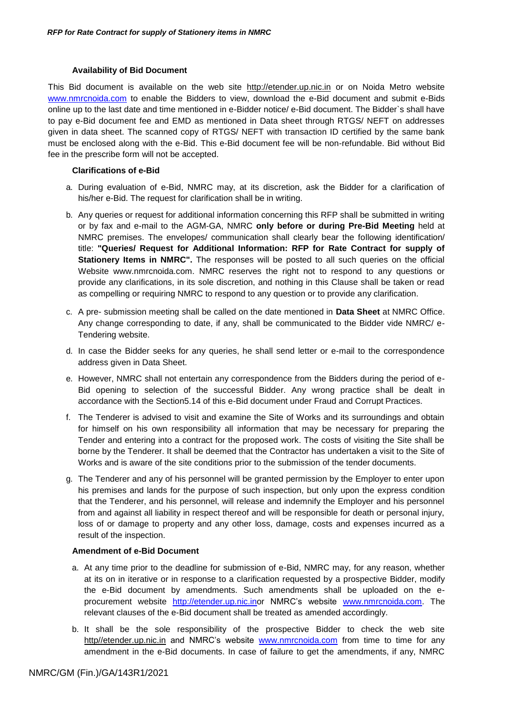### **Availability of Bid Document**

This Bid document is available on the web site [http://etender.up.nic.in](http://etender.up.nic.in/) or on Noida Metro website [www.nmrcnoida.com](http://www.nmrcnoida.com/) to enable the Bidders to view, download the e-Bid document and submit e-Bids online up to the last date and time mentioned in e-Bidder notice/ e-Bid document. The Bidder`s shall have to pay e-Bid document fee and EMD as mentioned in Data sheet through RTGS/ NEFT on addresses given in data sheet. The scanned copy of RTGS/ NEFT with transaction ID certified by the same bank must be enclosed along with the e-Bid. This e-Bid document fee will be non-refundable. Bid without Bid fee in the prescribe form will not be accepted.

### **Clarifications of e-Bid**

- a. During evaluation of e-Bid, NMRC may, at its discretion, ask the Bidder for a clarification of his/her e-Bid. The request for clarification shall be in writing.
- b. Any queries or request for additional information concerning this RFP shall be submitted in writing or by fax and e-mail to the AGM-GA, NMRC **only before or during Pre-Bid Meeting** held at NMRC premises. The envelopes/ communication shall clearly bear the following identification/ title: **"Queries/ Request for Additional Information: RFP for Rate Contract for supply of Stationery Items in NMRC".** The responses will be posted to all such queries on the official Website [www.nmrcnoida.com. N](http://www.nmrcnoida.com/)MRC reserves the right not to respond to any questions or provide any clarifications, in its sole discretion, and nothing in this Clause shall be taken or read as compelling or requiring NMRC to respond to any question or to provide any clarification.
- c. A pre- submission meeting shall be called on the date mentioned in **Data Sheet** at NMRC Office. Any change corresponding to date, if any, shall be communicated to the Bidder vide NMRC/ e-Tendering website.
- d. In case the Bidder seeks for any queries, he shall send letter or e-mail to the correspondence address given in Data Sheet.
- e. However, NMRC shall not entertain any correspondence from the Bidders during the period of e-Bid opening to selection of the successful Bidder. Any wrong practice shall be dealt in accordance with the Section5.14 of this e-Bid document under Fraud and Corrupt Practices.
- f. The Tenderer is advised to visit and examine the Site of Works and its surroundings and obtain for himself on his own responsibility all information that may be necessary for preparing the Tender and entering into a contract for the proposed work. The costs of visiting the Site shall be borne by the Tenderer. It shall be deemed that the Contractor has undertaken a visit to the Site of Works and is aware of the site conditions prior to the submission of the tender documents.
- g. The Tenderer and any of his personnel will be granted permission by the Employer to enter upon his premises and lands for the purpose of such inspection, but only upon the express condition that the Tenderer, and his personnel, will release and indemnify the Employer and his personnel from and against all liability in respect thereof and will be responsible for death or personal injury, loss of or damage to property and any other loss, damage, costs and expenses incurred as a result of the inspection.

#### **Amendment of e-Bid Document**

- a. At any time prior to the deadline for submission of e-Bid, NMRC may, for any reason, whether at its on in iterative or in response to a clarification requested by a prospective Bidder, modify the e-Bid document by amendments. Such amendments shall be uploaded on the eprocurement website [http://etender.up.nic.inor](http://etender.up.nic.inor/) NMRC"s website [www.nmrcnoida.com.](http://www.nmrcnoida.com/) The relevant clauses of the e-Bid document shall be treated as amended accordingly.
- b. It shall be the sole responsibility of the prospective Bidder to check the web site http//etender.up.nic.in and NMRC's website [www.nmrcnoida.com](http://www.nmrcnoida.com/) from time to time for any amendment in the e-Bid documents. In case of failure to get the amendments, if any, NMRC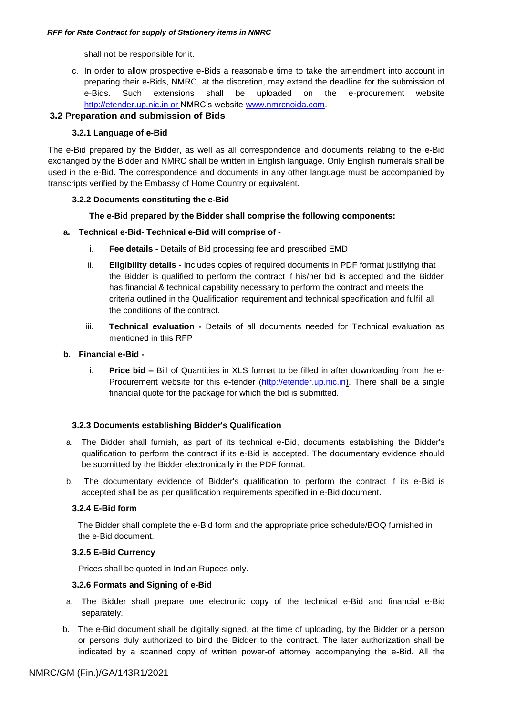shall not be responsible for it.

c. In order to allow prospective e-Bids a reasonable time to take the amendment into account in preparing their e-Bids, NMRC, at the discretion, may extend the deadline for the submission of e-Bids. Such extensions shall be uploaded on the e-procurement website http://etender.up.nic.in or NMRC's website [www.nmrcnoida.com.](http://www.nmrcnoida.com/)

# <span id="page-14-0"></span>**3.2 Preparation and submission of Bids**

### **3.2.1 Language of e-Bid**

The e-Bid prepared by the Bidder, as well as all correspondence and documents relating to the e-Bid exchanged by the Bidder and NMRC shall be written in English language. Only English numerals shall be used in the e-Bid. The correspondence and documents in any other language must be accompanied by transcripts verified by the Embassy of Home Country or equivalent.

### **3.2.2 Documents constituting the e-Bid**

### **The e-Bid prepared by the Bidder shall comprise the following components:**

### **a. Technical e-Bid- Technical e-Bid will comprise of -**

- i. **Fee details -** Details of Bid processing fee and prescribed EMD
- ii. **Eligibility details -** Includes copies of required documents in PDF format justifying that the Bidder is qualified to perform the contract if his/her bid is accepted and the Bidder has financial & technical capability necessary to perform the contract and meets the criteria outlined in the Qualification requirement and technical specification and fulfill all the conditions of the contract.
- iii. **Technical evaluation -** Details of all documents needed for Technical evaluation as mentioned in this RFP

### **b. Financial e-Bid -**

i. **Price bid –** Bill of Quantities in XLS format to be filled in after downloading from the e-Procurement website for this e-tender (http://etender.up.nic.in). There shall be a single financial quote for the package for which the bid is submitted.

### **3.2.3 Documents establishing Bidder's Qualification**

- a. The Bidder shall furnish, as part of its technical e-Bid, documents establishing the Bidder's qualification to perform the contract if its e-Bid is accepted. The documentary evidence should be submitted by the Bidder electronically in the PDF format.
- b. The documentary evidence of Bidder's qualification to perform the contract if its e-Bid is accepted shall be as per qualification requirements specified in e-Bid document.

### **3.2.4 E-Bid form**

The Bidder shall complete the e-Bid form and the appropriate price schedule/BOQ furnished in the e-Bid document.

### **3.2.5 E-Bid Currency**

Prices shall be quoted in Indian Rupees only.

### **3.2.6 Formats and Signing of e-Bid**

- a. The Bidder shall prepare one electronic copy of the technical e-Bid and financial e-Bid separately.
- b. The e-Bid document shall be digitally signed, at the time of uploading, by the Bidder or a person or persons duly authorized to bind the Bidder to the contract. The later authorization shall be indicated by a scanned copy of written power-of attorney accompanying the e-Bid. All the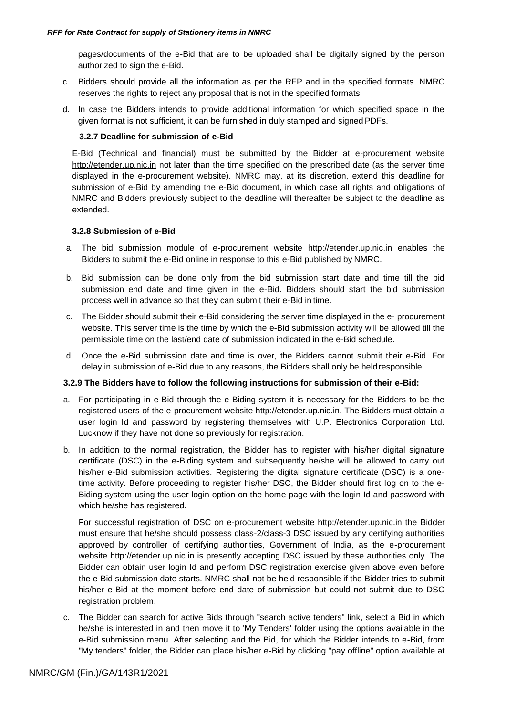pages/documents of the e-Bid that are to be uploaded shall be digitally signed by the person authorized to sign the e-Bid.

- c. Bidders should provide all the information as per the RFP and in the specified formats. NMRC reserves the rights to reject any proposal that is not in the specified formats.
- d. In case the Bidders intends to provide additional information for which specified space in the given format is not sufficient, it can be furnished in duly stamped and signed PDFs.

### **3.2.7 Deadline for submission of e-Bid**

E-Bid (Technical and financial) must be submitted by the Bidder at e-procurement websit[e](http://etender.up.nic.in/) [http://etender.up.nic.in](http://etender.up.nic.in/) not later than the time specified on the prescribed date (as the server time displayed in the e-procurement website). NMRC may, at its discretion, extend this deadline for submission of e-Bid by amending the e-Bid document, in which case all rights and obligations of NMRC and Bidders previously subject to the deadline will thereafter be subject to the deadline as extended.

### **3.2.8 Submission of e-Bid**

- a. The bid submission module of e-procurement website [http://etender.up.nic.in](http://etender.up.nic.in/) enables the Bidders to submit the e-Bid online in response to this e-Bid published by NMRC.
- b. Bid submission can be done only from the bid submission start date and time till the bid submission end date and time given in the e-Bid. Bidders should start the bid submission process well in advance so that they can submit their e-Bid in time.
- c. The Bidder should submit their e-Bid considering the server time displayed in the e- procurement website. This server time is the time by which the e-Bid submission activity will be allowed till the permissible time on the last/end date of submission indicated in the e-Bid schedule.
- d. Once the e-Bid submission date and time is over, the Bidders cannot submit their e-Bid. For delay in submission of e-Bid due to any reasons, the Bidders shall only be held responsible.

#### **3.2.9 The Bidders have to follow the following instructions for submission of their e-Bid:**

- a. For participating in e-Bid through the e-Biding system it is necessary for the Bidders to be the registered users of the e-procurement website [http://etender.up.nic.in. T](http://etender.up.nic.in/)he Bidders must obtain a user login Id and password by registering themselves with U.P. Electronics Corporation Ltd. Lucknow if they have not done so previously for registration.
- b. In addition to the normal registration, the Bidder has to register with his/her digital signature certificate (DSC) in the e-Biding system and subsequently he/she will be allowed to carry out his/her e-Bid submission activities. Registering the digital signature certificate (DSC) is a onetime activity. Before proceeding to register his/her DSC, the Bidder should first log on to the e-Biding system using the user login option on the home page with the login Id and password with which he/she has registered.

For successful registration of DSC on e-procurement website [http://etender.up.nic.in](http://etender.up.nic.in/) the Bidder must ensure that he/she should possess class-2/class-3 DSC issued by any certifying authorities approved by controller of certifying authorities, Government of India, as the e-procurement website [http://etender.up.nic.in](http://etender.up.nic.in/) is presently accepting DSC issued by these authorities only. The Bidder can obtain user login Id and perform DSC registration exercise given above even before the e-Bid submission date starts. NMRC shall not be held responsible if the Bidder tries to submit his/her e-Bid at the moment before end date of submission but could not submit due to DSC registration problem.

c. The Bidder can search for active Bids through "search active tenders" link, select a Bid in which he/she is interested in and then move it to 'My Tenders' folder using the options available in the e-Bid submission menu. After selecting and the Bid, for which the Bidder intends to e-Bid, from "My tenders" folder, the Bidder can place his/her e-Bid by clicking "pay offline" option available at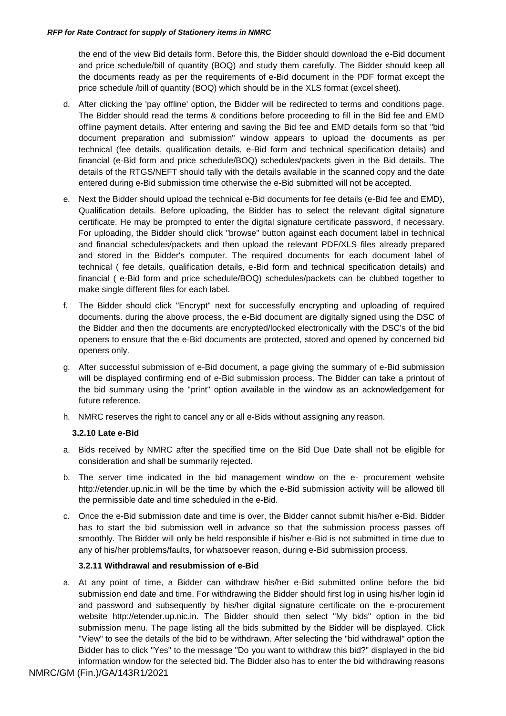the end of the view Bid details form. Before this, the Bidder should download the e-Bid document and price schedule/bill of quantity (BOQ) and study them carefully. The Bidder should keep all the documents ready as per the requirements of e-Bid document in the PDF format except the price schedule /bill of quantity (BOQ) which should be in the XLS format (excel sheet).

- d. After clicking the 'pay offline' option, the Bidder will be redirected to terms and conditions page. The Bidder should read the terms & conditions before proceeding to fill in the Bid fee and EMD offline payment details. After entering and saving the Bid fee and EMD details form so that "bid document preparation and submission" window appears to upload the documents as per technical (fee details, qualification details, e-Bid form and technical specification details) and financial (e-Bid form and price schedule/BOQ) schedules/packets given in the Bid details. The details of the RTGS/NEFT should tally with the details available in the scanned copy and the date entered during e-Bid submission time otherwise the e-Bid submitted will not be accepted.
- e. Next the Bidder should upload the technical e-Bid documents for fee details (e-Bid fee and EMD), Qualification details. Before uploading, the Bidder has to select the relevant digital signature certificate. He may be prompted to enter the digital signature certificate password, if necessary. For uploading, the Bidder should click "browse" button against each document label in technical and financial schedules/packets and then upload the relevant PDF/XLS files already prepared and stored in the Bidder's computer. The required documents for each document label of technical ( fee details, qualification details, e-Bid form and technical specification details) and financial ( e-Bid form and price schedule/BOQ) schedules/packets can be clubbed together to make single different files for each label.
- f. The Bidder should click "Encrypt" next for successfully encrypting and uploading of required documents. during the above process, the e-Bid document are digitally signed using the DSC of the Bidder and then the documents are encrypted/locked electronically with the DSC's of the bid openers to ensure that the e-Bid documents are protected, stored and opened by concerned bid openers only.
- g. After successful submission of e-Bid document, a page giving the summary of e-Bid submission will be displayed confirming end of e-Bid submission process. The Bidder can take a printout of the bid summary using the "print" option available in the window as an acknowledgement for future reference.
- h. NMRC reserves the right to cancel any or all e-Bids without assigning any reason.

### **3.2.10 Late e-Bid**

- a. Bids received by NMRC after the specified time on the Bid Due Date shall not be eligible for consideration and shall be summarily rejected.
- b. The server time indicated in the bid management window on the e- procurement websit[e](http://etender.up.nic.in/) [http://etender.up.nic.in w](http://etender.up.nic.in/)ill be the time by which the e-Bid submission activity will be allowed till the permissible date and time scheduled in the e-Bid.
- c. Once the e-Bid submission date and time is over, the Bidder cannot submit his/her e-Bid. Bidder has to start the bid submission well in advance so that the submission process passes off smoothly. The Bidder will only be held responsible if his/her e-Bid is not submitted in time due to any of his/her problems/faults, for whatsoever reason, during e-Bid submission process.

#### **3.2.11 Withdrawal and resubmission of e-Bid**

a. At any point of time, a Bidder can withdraw his/her e-Bid submitted online before the bid submission end date and time. For withdrawing the Bidder should first log in using his/her login id and password and subsequently by his/her digital signature certificate on the e-procurement website [http://etender.up.nic.in.](http://etender.up.nic.in/) The Bidder should then select "My bids" option in the bid submission menu. The page listing all the bids submitted by the Bidder will be displayed. Click "View" to see the details of the bid to be withdrawn. After selecting the "bid withdrawal" option the Bidder has to click "Yes" to the message "Do you want to withdraw this bid?" displayed in the bid information window for the selected bid. The Bidder also has to enter the bid withdrawing reasons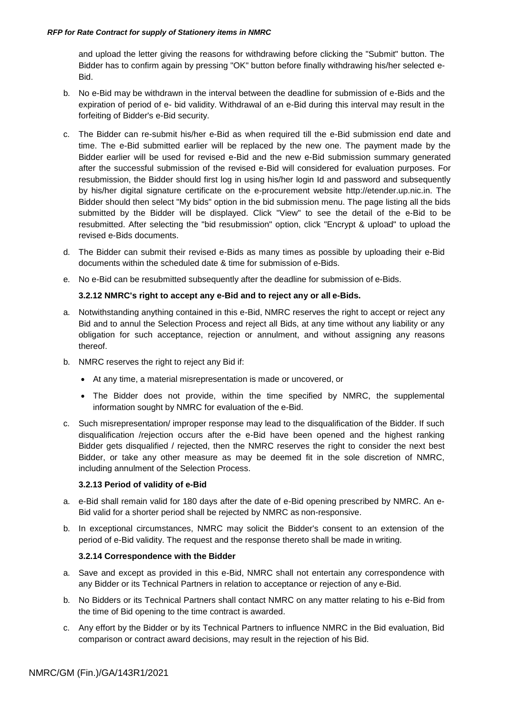and upload the letter giving the reasons for withdrawing before clicking the "Submit" button. The Bidder has to confirm again by pressing "OK" button before finally withdrawing his/her selected e-Bid.

- b. No e-Bid may be withdrawn in the interval between the deadline for submission of e-Bids and the expiration of period of e- bid validity. Withdrawal of an e-Bid during this interval may result in the forfeiting of Bidder's e-Bid security.
- c. The Bidder can re-submit his/her e-Bid as when required till the e-Bid submission end date and time. The e-Bid submitted earlier will be replaced by the new one. The payment made by the Bidder earlier will be used for revised e-Bid and the new e-Bid submission summary generated after the successful submission of the revised e-Bid will considered for evaluation purposes. For resubmission, the Bidder should first log in using his/her login Id and password and subsequently by his/her digital signature certificate on the e-procurement website [http://etender.up.nic.in. T](http://etender.up.nic.in/)he Bidder should then select "My bids" option in the bid submission menu. The page listing all the bids submitted by the Bidder will be displayed. Click "View" to see the detail of the e-Bid to be resubmitted. After selecting the "bid resubmission" option, click "Encrypt & upload" to upload the revised e-Bids documents.
- d. The Bidder can submit their revised e-Bids as many times as possible by uploading their e-Bid documents within the scheduled date & time for submission of e-Bids.
- e. No e-Bid can be resubmitted subsequently after the deadline for submission of e-Bids.

### **3.2.12 NMRC's right to accept any e-Bid and to reject any or all e-Bids.**

- a. Notwithstanding anything contained in this e-Bid, NMRC reserves the right to accept or reject any Bid and to annul the Selection Process and reject all Bids, at any time without any liability or any obligation for such acceptance, rejection or annulment, and without assigning any reasons thereof.
- b. NMRC reserves the right to reject any Bid if:
	- At any time, a material misrepresentation is made or uncovered, or
	- The Bidder does not provide, within the time specified by NMRC, the supplemental information sought by NMRC for evaluation of the e-Bid.
- c. Such misrepresentation/ improper response may lead to the disqualification of the Bidder. If such disqualification /rejection occurs after the e-Bid have been opened and the highest ranking Bidder gets disqualified / rejected, then the NMRC reserves the right to consider the next best Bidder, or take any other measure as may be deemed fit in the sole discretion of NMRC, including annulment of the Selection Process.

#### **3.2.13 Period of validity of e-Bid**

- a. e-Bid shall remain valid for 180 days after the date of e-Bid opening prescribed by NMRC. An e-Bid valid for a shorter period shall be rejected by NMRC as non-responsive.
- b. In exceptional circumstances, NMRC may solicit the Bidder's consent to an extension of the period of e-Bid validity. The request and the response thereto shall be made in writing.

### **3.2.14 Correspondence with the Bidder**

- a. Save and except as provided in this e-Bid, NMRC shall not entertain any correspondence with any Bidder or its Technical Partners in relation to acceptance or rejection of any e-Bid.
- b. No Bidders or its Technical Partners shall contact NMRC on any matter relating to his e-Bid from the time of Bid opening to the time contract is awarded.
- <span id="page-17-0"></span>c. Any effort by the Bidder or by its Technical Partners to influence NMRC in the Bid evaluation, Bid comparison or contract award decisions, may result in the rejection of his Bid.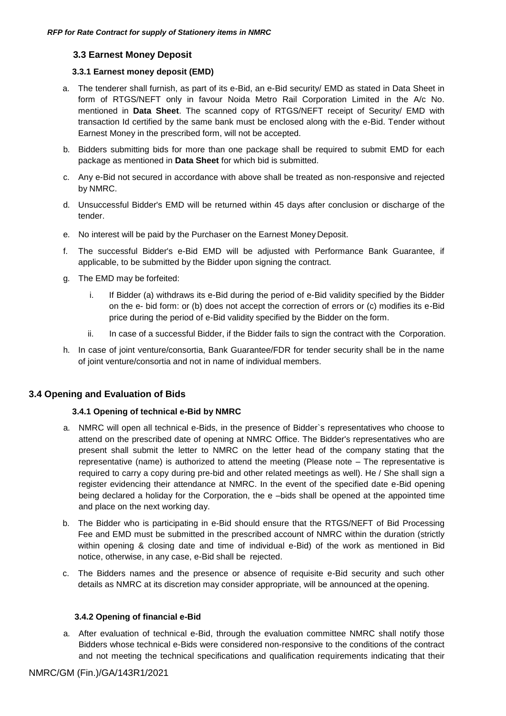# **3.3 Earnest Money Deposit**

### **3.3.1 Earnest money deposit (EMD)**

- a. The tenderer shall furnish, as part of its e-Bid, an e-Bid security/ EMD as stated in Data Sheet in form of RTGS/NEFT only in favour Noida Metro Rail Corporation Limited in the A/c No. mentioned in **Data Sheet**. The scanned copy of RTGS/NEFT receipt of Security/ EMD with transaction Id certified by the same bank must be enclosed along with the e-Bid. Tender without Earnest Money in the prescribed form, will not be accepted.
- b. Bidders submitting bids for more than one package shall be required to submit EMD for each package as mentioned in **Data Sheet** for which bid is submitted.
- c. Any e-Bid not secured in accordance with above shall be treated as non-responsive and rejected by NMRC.
- d. Unsuccessful Bidder's EMD will be returned within 45 days after conclusion or discharge of the tender.
- e. No interest will be paid by the Purchaser on the Earnest Money Deposit.
- f. The successful Bidder's e-Bid EMD will be adjusted with Performance Bank Guarantee, if applicable, to be submitted by the Bidder upon signing the contract.
- g. The EMD may be forfeited:
	- i. If Bidder (a) withdraws its e-Bid during the period of e-Bid validity specified by the Bidder on the e- bid form: or (b) does not accept the correction of errors or (c) modifies its e-Bid price during the period of e-Bid validity specified by the Bidder on the form.
	- ii. In case of a successful Bidder, if the Bidder fails to sign the contract with the Corporation.
- h. In case of joint venture/consortia, Bank Guarantee/FDR for tender security shall be in the name of joint venture/consortia and not in name of individual members.

# <span id="page-18-0"></span>**3.4 Opening and Evaluation of Bids**

### **3.4.1 Opening of technical e-Bid by NMRC**

- a. NMRC will open all technical e-Bids, in the presence of Bidder`s representatives who choose to attend on the prescribed date of opening at NMRC Office. The Bidder's representatives who are present shall submit the letter to NMRC on the letter head of the company stating that the representative (name) is authorized to attend the meeting (Please note – The representative is required to carry a copy during pre-bid and other related meetings as well). He / She shall sign a register evidencing their attendance at NMRC. In the event of the specified date e-Bid opening being declared a holiday for the Corporation, the e –bids shall be opened at the appointed time and place on the next working day.
- b. The Bidder who is participating in e-Bid should ensure that the RTGS/NEFT of Bid Processing Fee and EMD must be submitted in the prescribed account of NMRC within the duration (strictly within opening & closing date and time of individual e-Bid) of the work as mentioned in Bid notice, otherwise, in any case, e-Bid shall be rejected.
- c. The Bidders names and the presence or absence of requisite e-Bid security and such other details as NMRC at its discretion may consider appropriate, will be announced at the opening.

### **3.4.2 Opening of financial e-Bid**

a. After evaluation of technical e-Bid, through the evaluation committee NMRC shall notify those Bidders whose technical e-Bids were considered non-responsive to the conditions of the contract and not meeting the technical specifications and qualification requirements indicating that their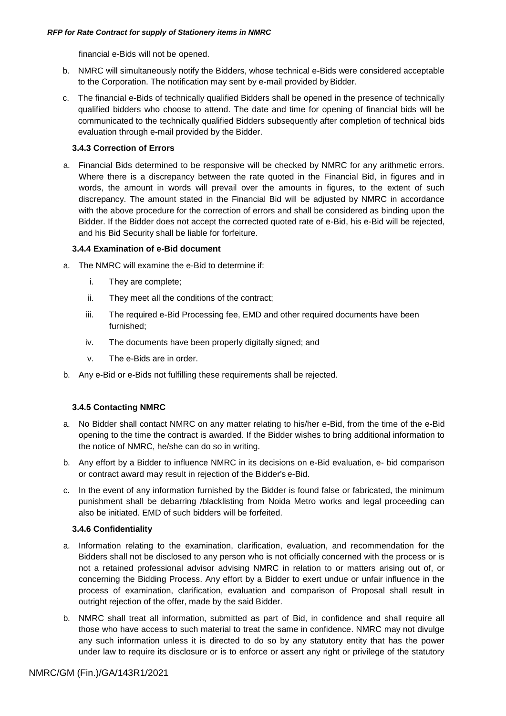financial e-Bids will not be opened.

- b. NMRC will simultaneously notify the Bidders, whose technical e-Bids were considered acceptable to the Corporation. The notification may sent by e-mail provided by Bidder.
- c. The financial e-Bids of technically qualified Bidders shall be opened in the presence of technically qualified bidders who choose to attend. The date and time for opening of financial bids will be communicated to the technically qualified Bidders subsequently after completion of technical bids evaluation through e-mail provided by the Bidder.

### **3.4.3 Correction of Errors**

a. Financial Bids determined to be responsive will be checked by NMRC for any arithmetic errors. Where there is a discrepancy between the rate quoted in the Financial Bid, in figures and in words, the amount in words will prevail over the amounts in figures, to the extent of such discrepancy. The amount stated in the Financial Bid will be adjusted by NMRC in accordance with the above procedure for the correction of errors and shall be considered as binding upon the Bidder. If the Bidder does not accept the corrected quoted rate of e-Bid, his e-Bid will be rejected, and his Bid Security shall be liable for forfeiture.

### **3.4.4 Examination of e-Bid document**

- a. The NMRC will examine the e-Bid to determine if:
	- i. They are complete;
	- ii. They meet all the conditions of the contract;
	- iii. The required e-Bid Processing fee, EMD and other required documents have been furnished;
	- iv. The documents have been properly digitally signed; and
	- v. The e-Bids are in order.
- b. Any e-Bid or e-Bids not fulfilling these requirements shall be rejected.

### **3.4.5 Contacting NMRC**

- a. No Bidder shall contact NMRC on any matter relating to his/her e-Bid, from the time of the e-Bid opening to the time the contract is awarded. If the Bidder wishes to bring additional information to the notice of NMRC, he/she can do so in writing.
- b. Any effort by a Bidder to influence NMRC in its decisions on e-Bid evaluation, e- bid comparison or contract award may result in rejection of the Bidder's e-Bid.
- c. In the event of any information furnished by the Bidder is found false or fabricated, the minimum punishment shall be debarring /blacklisting from Noida Metro works and legal proceeding can also be initiated. EMD of such bidders will be forfeited.

### **3.4.6 Confidentiality**

- a. Information relating to the examination, clarification, evaluation, and recommendation for the Bidders shall not be disclosed to any person who is not officially concerned with the process or is not a retained professional advisor advising NMRC in relation to or matters arising out of, or concerning the Bidding Process. Any effort by a Bidder to exert undue or unfair influence in the process of examination, clarification, evaluation and comparison of Proposal shall result in outright rejection of the offer, made by the said Bidder.
- b. NMRC shall treat all information, submitted as part of Bid, in confidence and shall require all those who have access to such material to treat the same in confidence. NMRC may not divulge any such information unless it is directed to do so by any statutory entity that has the power under law to require its disclosure or is to enforce or assert any right or privilege of the statutory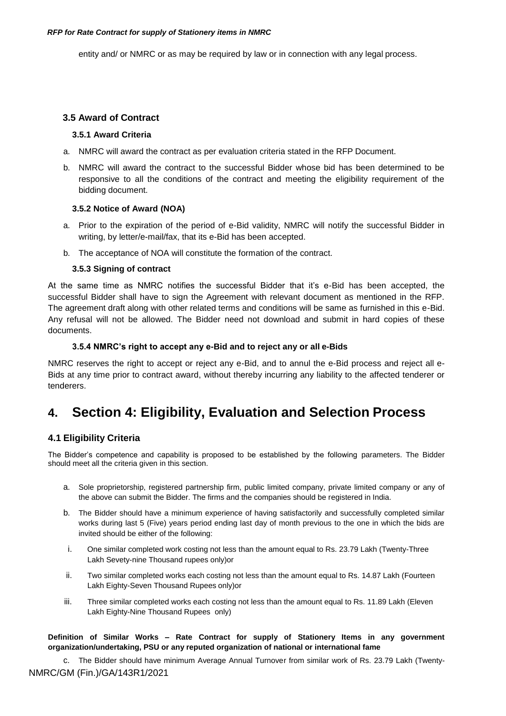<span id="page-20-0"></span>entity and/ or NMRC or as may be required by law or in connection with any legal process.

# **3.5 Award of Contract**

### **3.5.1 Award Criteria**

- a. NMRC will award the contract as per evaluation criteria stated in the RFP Document.
- b. NMRC will award the contract to the successful Bidder whose bid has been determined to be responsive to all the conditions of the contract and meeting the eligibility requirement of the bidding document.

### **3.5.2 Notice of Award (NOA)**

- a. Prior to the expiration of the period of e-Bid validity, NMRC will notify the successful Bidder in writing, by letter/e-mail/fax, that its e-Bid has been accepted.
- b. The acceptance of NOA will constitute the formation of the contract.

### **3.5.3 Signing of contract**

At the same time as NMRC notifies the successful Bidder that it"s e-Bid has been accepted, the successful Bidder shall have to sign the Agreement with relevant document as mentioned in the RFP. The agreement draft along with other related terms and conditions will be same as furnished in this e-Bid. Any refusal will not be allowed. The Bidder need not download and submit in hard copies of these documents.

### **3.5.4 NMRC's right to accept any e-Bid and to reject any or all e-Bids**

NMRC reserves the right to accept or reject any e-Bid, and to annul the e-Bid process and reject all e-Bids at any time prior to contract award, without thereby incurring any liability to the affected tenderer or tenderers.

# <span id="page-20-1"></span>**4. Section 4: Eligibility, Evaluation and Selection Process**

# <span id="page-20-2"></span>**4.1 Eligibility Criteria**

The Bidder"s competence and capability is proposed to be established by the following parameters. The Bidder should meet all the criteria given in this section.

- a. Sole proprietorship, registered partnership firm, public limited company, private limited company or any of the above can submit the Bidder. The firms and the companies should be registered in India.
- b. The Bidder should have a minimum experience of having satisfactorily and successfully completed similar works during last 5 (Five) years period ending last day of month previous to the one in which the bids are invited should be either of the following:
- i. One similar completed work costing not less than the amount equal to Rs. 23.79 Lakh (Twenty-Three Lakh Sevety-nine Thousand rupees only)or
- ii. Two similar completed works each costing not less than the amount equal to Rs. 14.87 Lakh (Fourteen Lakh Eighty-Seven Thousand Rupees only)or
- iii. Three similar completed works each costing not less than the amount equal to Rs. 11.89 Lakh (Eleven Lakh Eighty-Nine Thousand Rupees only)

**Definition of Similar Works – Rate Contract for supply of Stationery Items in any government organization/undertaking, PSU or any reputed organization of national or international fame**

NMRC/GM (Fin.)/GA/143R1/2021 c. The Bidder should have minimum Average Annual Turnover from similar work of Rs. 23.79 Lakh (Twenty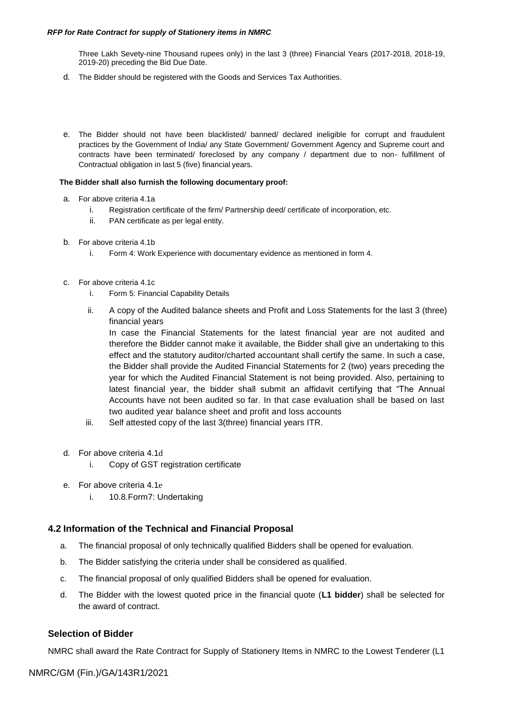Three Lakh Sevety-nine Thousand rupees only) in the last 3 (three) Financial Years (2017-2018, 2018-19, 2019-20) preceding the Bid Due Date.

- d. The Bidder should be registered with the Goods and Services Tax Authorities.
- e. The Bidder should not have been blacklisted/ banned/ declared ineligible for corrupt and fraudulent practices by the Government of India/ any State Government/ Government Agency and Supreme court and contracts have been terminated/ foreclosed by any company / department due to non- fulfillment of Contractual obligation in last 5 (five) financial years.

### **The Bidder shall also furnish the following documentary proof:**

- a. For above criteria 4.1a
	- i. Registration certificate of the firm/ Partnership deed/ certificate of incorporation, etc.
	- ii. PAN certificate as per legal entity.
- b. For above criteria 4.1b
	- i. Form 4: Work Experience with documentary evidence as mentioned in form 4.
- c. For above criteria 4.1c
	- i. Form 5: Financial Capability Details
	- ii. A copy of the Audited balance sheets and Profit and Loss Statements for the last 3 (three) financial years

In case the Financial Statements for the latest financial year are not audited and therefore the Bidder cannot make it available, the Bidder shall give an undertaking to this effect and the statutory auditor/charted accountant shall certify the same. In such a case, the Bidder shall provide the Audited Financial Statements for 2 (two) years preceding the year for which the Audited Financial Statement is not being provided. Also, pertaining to latest financial year, the bidder shall submit an affidavit certifying that "The Annual Accounts have not been audited so far. In that case evaluation shall be based on last two audited year balance sheet and profit and loss accounts

- iii. Self attested copy of the last 3(three) financial years ITR.
- d. For above criteria 4.1d
	- i. Copy of GST registration certificate
- e. For above criteria 4.1e
	- i. 10.8.Form7: Undertaking

### <span id="page-21-0"></span>**4.2 Information of the Technical and Financial Proposal**

- a. The financial proposal of only technically qualified Bidders shall be opened for evaluation.
- b. The Bidder satisfying the criteria under shall be considered as qualified.
- c. The financial proposal of only qualified Bidders shall be opened for evaluation.
- d. The Bidder with the lowest quoted price in the financial quote (**L1 bidder**) shall be selected for the award of contract.

### **Selection of Bidder**

NMRC shall award the Rate Contract for Supply of Stationery Items in NMRC to the Lowest Tenderer (L1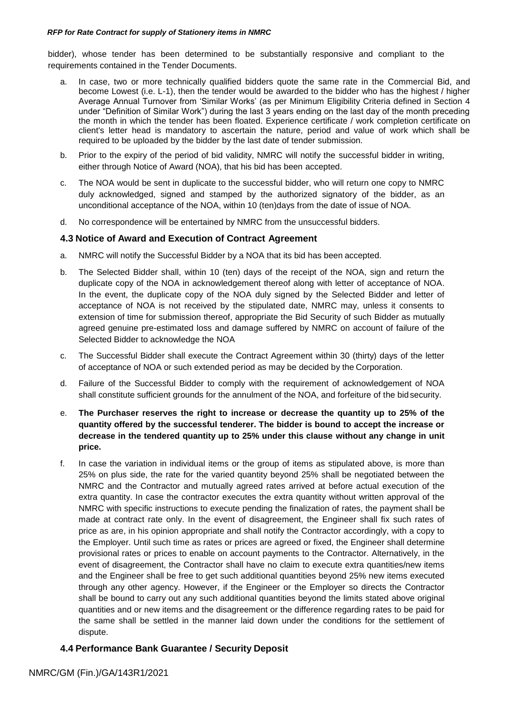bidder), whose tender has been determined to be substantially responsive and compliant to the requirements contained in the Tender Documents.

- a. In case, two or more technically qualified bidders quote the same rate in the Commercial Bid, and become Lowest (i.e. L-1), then the tender would be awarded to the bidder who has the highest / higher Average Annual Turnover from "Similar Works" (as per Minimum Eligibility Criteria defined in Section 4 under "Definition of Similar Work") during the last 3 years ending on the last day of the month preceding the month in which the tender has been floated. Experience certificate / work completion certificate on client's letter head is mandatory to ascertain the nature, period and value of work which shall be required to be uploaded by the bidder by the last date of tender submission.
- b. Prior to the expiry of the period of bid validity, NMRC will notify the successful bidder in writing, either through Notice of Award (NOA), that his bid has been accepted.
- c. The NOA would be sent in duplicate to the successful bidder, who will return one copy to NMRC duly acknowledged, signed and stamped by the authorized signatory of the bidder, as an unconditional acceptance of the NOA, within 10 (ten)days from the date of issue of NOA.
- d. No correspondence will be entertained by NMRC from the unsuccessful bidders.

# <span id="page-22-0"></span>**4.3 Notice of Award and Execution of Contract Agreement**

- a. NMRC will notify the Successful Bidder by a NOA that its bid has been accepted.
- b. The Selected Bidder shall, within 10 (ten) days of the receipt of the NOA, sign and return the duplicate copy of the NOA in acknowledgement thereof along with letter of acceptance of NOA. In the event, the duplicate copy of the NOA duly signed by the Selected Bidder and letter of acceptance of NOA is not received by the stipulated date, NMRC may, unless it consents to extension of time for submission thereof, appropriate the Bid Security of such Bidder as mutually agreed genuine pre-estimated loss and damage suffered by NMRC on account of failure of the Selected Bidder to acknowledge the NOA
- c. The Successful Bidder shall execute the Contract Agreement within 30 (thirty) days of the letter of acceptance of NOA or such extended period as may be decided by the Corporation.
- d. Failure of the Successful Bidder to comply with the requirement of acknowledgement of NOA shall constitute sufficient grounds for the annulment of the NOA, and forfeiture of the bidsecurity.
- e. **The Purchaser reserves the right to increase or decrease the quantity up to 25% of the quantity offered by the successful tenderer. The bidder is bound to accept the increase or decrease in the tendered quantity up to 25% under this clause without any change in unit price.**
- f. In case the variation in individual items or the group of items as stipulated above, is more than 25% on plus side, the rate for the varied quantity beyond 25% shall be negotiated between the NMRC and the Contractor and mutually agreed rates arrived at before actual execution of the extra quantity. In case the contractor executes the extra quantity without written approval of the NMRC with specific instructions to execute pending the finalization of rates, the payment shall be made at contract rate only. In the event of disagreement, the Engineer shall fix such rates of price as are, in his opinion appropriate and shall notify the Contractor accordingly, with a copy to the Employer. Until such time as rates or prices are agreed or fixed, the Engineer shall determine provisional rates or prices to enable on account payments to the Contractor. Alternatively, in the event of disagreement, the Contractor shall have no claim to execute extra quantities/new items and the Engineer shall be free to get such additional quantities beyond 25% new items executed through any other agency. However, if the Engineer or the Employer so directs the Contractor shall be bound to carry out any such additional quantities beyond the limits stated above original quantities and or new items and the disagreement or the difference regarding rates to be paid for the same shall be settled in the manner laid down under the conditions for the settlement of dispute.

# <span id="page-22-1"></span>**4.4 Performance Bank Guarantee / Security Deposit**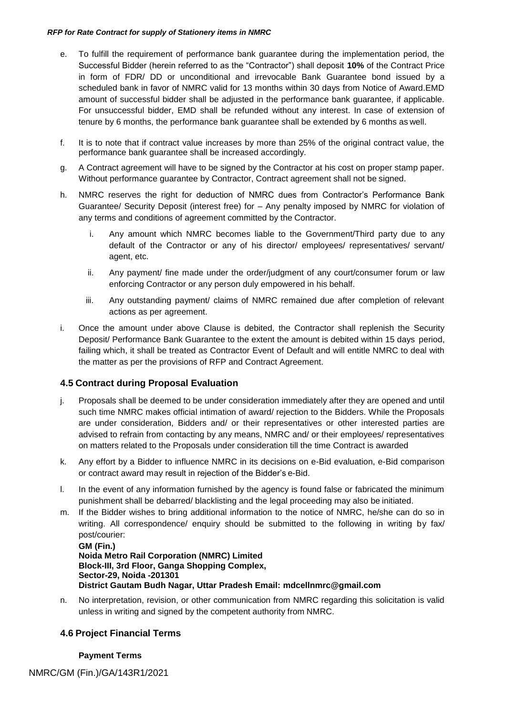- e. To fulfill the requirement of performance bank guarantee during the implementation period, the Successful Bidder (herein referred to as the "Contractor") shall deposit **10%** of the Contract Price in form of FDR/ DD or unconditional and irrevocable Bank Guarantee bond issued by a scheduled bank in favor of NMRC valid for 13 months within 30 days from Notice of Award.EMD amount of successful bidder shall be adjusted in the performance bank guarantee, if applicable. For unsuccessful bidder, EMD shall be refunded without any interest. In case of extension of tenure by 6 months, the performance bank guarantee shall be extended by 6 months as well.
- f. It is to note that if contract value increases by more than 25% of the original contract value, the performance bank guarantee shall be increased accordingly.
- g. A Contract agreement will have to be signed by the Contractor at his cost on proper stamp paper. Without performance guarantee by Contractor, Contract agreement shall not be signed.
- h. NMRC reserves the right for deduction of NMRC dues from Contractor's Performance Bank Guarantee/ Security Deposit (interest free) for – Any penalty imposed by NMRC for violation of any terms and conditions of agreement committed by the Contractor.
	- i. Any amount which NMRC becomes liable to the Government/Third party due to any default of the Contractor or any of his director/ employees/ representatives/ servant/ agent, etc.
	- ii. Any payment/ fine made under the order/judgment of any court/consumer forum or law enforcing Contractor or any person duly empowered in his behalf.
	- iii. Any outstanding payment/ claims of NMRC remained due after completion of relevant actions as per agreement.
- i. Once the amount under above Clause is debited, the Contractor shall replenish the Security Deposit/ Performance Bank Guarantee to the extent the amount is debited within 15 days period, failing which, it shall be treated as Contractor Event of Default and will entitle NMRC to deal with the matter as per the provisions of RFP and Contract Agreement.

# <span id="page-23-0"></span>**4.5 Contract during Proposal Evaluation**

- j. Proposals shall be deemed to be under consideration immediately after they are opened and until such time NMRC makes official intimation of award/ rejection to the Bidders. While the Proposals are under consideration, Bidders and/ or their representatives or other interested parties are advised to refrain from contacting by any means, NMRC and/ or their employees/ representatives on matters related to the Proposals under consideration till the time Contract is awarded
- k. Any effort by a Bidder to influence NMRC in its decisions on e-Bid evaluation, e-Bid comparison or contract award may result in rejection of the Bidder"s e-Bid.
- l. In the event of any information furnished by the agency is found false or fabricated the minimum punishment shall be debarred/ blacklisting and the legal proceeding may also be initiated.
- m. If the Bidder wishes to bring additional information to the notice of NMRC, he/she can do so in writing. All correspondence/ enquiry should be submitted to the following in writing by fax/ post/courier: **GM (Fin.)**

```
Noida Metro Rail Corporation (NMRC) Limited
Block-III, 3rd Floor, Ganga Shopping Complex, 
Sector-29, Noida -201301
District Gautam Budh Nagar, Uttar Pradesh Email: mdcellnmrc@gmail.com
```
n. No interpretation, revision, or other communication from NMRC regarding this solicitation is valid unless in writing and signed by the competent authority from NMRC.

# <span id="page-23-1"></span>**4.6 Project Financial Terms**

### **Payment Terms**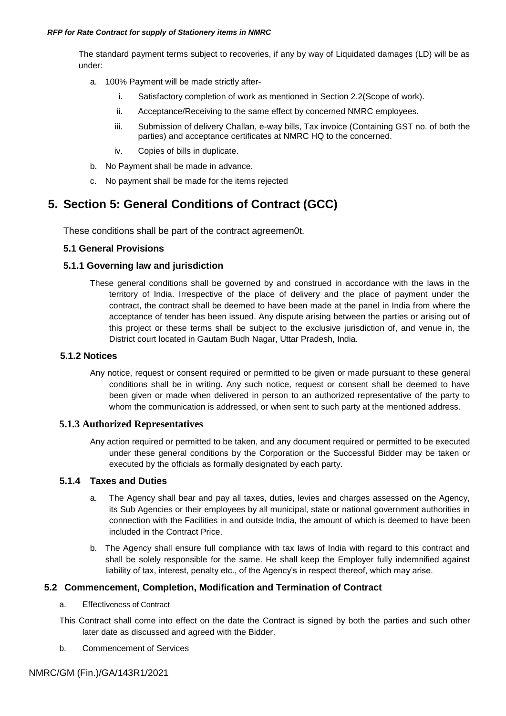The standard payment terms subject to recoveries, if any by way of Liquidated damages (LD) will be as under:

- a. 100% Payment will be made strictly after
	- i. Satisfactory completion of work as mentioned in Section 2.2(Scope of work).
	- ii. Acceptance/Receiving to the same effect by concerned NMRC employees.
	- iii. Submission of delivery Challan, e-way bills, Tax invoice (Containing GST no. of both the parties) and acceptance certificates at NMRC HQ to the concerned.
	- iv. Copies of bills in duplicate.
- b. No Payment shall be made in advance.
- c. No payment shall be made for the items rejected

# <span id="page-24-0"></span>**5. Section 5: General Conditions of Contract (GCC)**

These conditions shall be part of the contract agreemen0t.

# **5.1 General Provisions**

# **5.1.1 Governing law and jurisdiction**

These general conditions shall be governed by and construed in accordance with the laws in the territory of India. Irrespective of the place of delivery and the place of payment under the contract, the contract shall be deemed to have been made at the panel in India from where the acceptance of tender has been issued. Any dispute arising between the parties or arising out of this project or these terms shall be subject to the exclusive jurisdiction of, and venue in, the District court located in Gautam Budh Nagar, Uttar Pradesh, India.

# **5.1.2 Notices**

Any notice, request or consent required or permitted to be given or made pursuant to these general conditions shall be in writing. Any such notice, request or consent shall be deemed to have been given or made when delivered in person to an authorized representative of the party to whom the communication is addressed, or when sent to such party at the mentioned address.

# **5.1.3 Authorized Representatives**

Any action required or permitted to be taken, and any document required or permitted to be executed under these general conditions by the Corporation or the Successful Bidder may be taken or executed by the officials as formally designated by each party.

### **5.1.4 Taxes and Duties**

- a. The Agency shall bear and pay all taxes, duties, levies and charges assessed on the Agency, its Sub Agencies or their employees by all municipal, state or national government authorities in connection with the Facilities in and outside India, the amount of which is deemed to have been included in the Contract Price.
- b. The Agency shall ensure full compliance with tax laws of India with regard to this contract and shall be solely responsible for the same. He shall keep the Employer fully indemnified against liability of tax, interest, penalty etc., of the Agency"s in respect thereof, which may arise.

# **5.2 Commencement, Completion, Modification and Termination of Contract**

- a. Effectiveness of Contract
- This Contract shall come into effect on the date the Contract is signed by both the parties and such other later date as discussed and agreed with the Bidder.
- b. Commencement of Services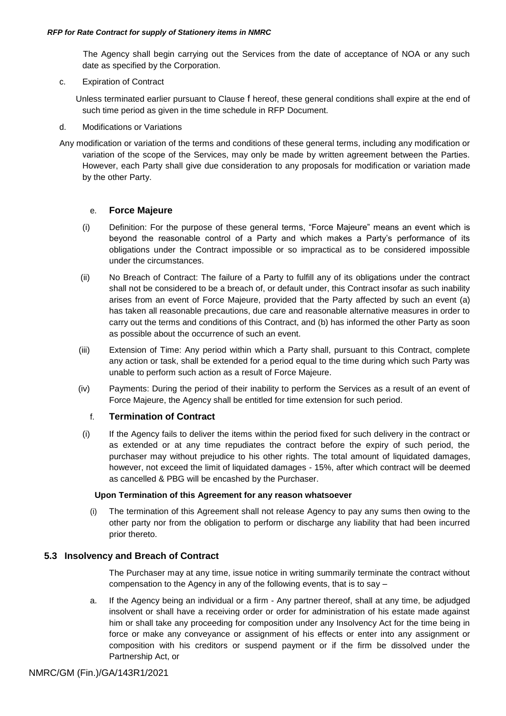The Agency shall begin carrying out the Services from the date of acceptance of NOA or any such date as specified by the Corporation.

c. Expiration of Contract

 Unless terminated earlier pursuant to Clause [f](#page-25-0) hereof, these general conditions shall expire at the end of such time period as given in the time schedule in RFP Document.

d. Modifications or Variations

Any modification or variation of the terms and conditions of these general terms, including any modification or variation of the scope of the Services, may only be made by written agreement between the Parties. However, each Party shall give due consideration to any proposals for modification or variation made by the other Party.

# e. **Force Majeure**

- (i) Definition: For the purpose of these general terms, "Force Majeure" means an event which is beyond the reasonable control of a Party and which makes a Party"s performance of its obligations under the Contract impossible or so impractical as to be considered impossible under the circumstances.
- (ii) No Breach of Contract: The failure of a Party to fulfill any of its obligations under the contract shall not be considered to be a breach of, or default under, this Contract insofar as such inability arises from an event of Force Majeure, provided that the Party affected by such an event (a) has taken all reasonable precautions, due care and reasonable alternative measures in order to carry out the terms and conditions of this Contract, and (b) has informed the other Party as soon as possible about the occurrence of such an event.
- (iii) Extension of Time: Any period within which a Party shall, pursuant to this Contract, complete any action or task, shall be extended for a period equal to the time during which such Party was unable to perform such action as a result of Force Majeure.
- <span id="page-25-0"></span>(iv) Payments: During the period of their inability to perform the Services as a result of an event of Force Majeure, the Agency shall be entitled for time extension for such period.

# f. **Termination of Contract**

(i) If the Agency fails to deliver the items within the period fixed for such delivery in the contract or as extended or at any time repudiates the contract before the expiry of such period, the purchaser may without prejudice to his other rights. The total amount of liquidated damages, however, not exceed the limit of liquidated damages - 15%, after which contract will be deemed as cancelled & PBG will be encashed by the Purchaser.

### **Upon Termination of this Agreement for any reason whatsoever**

(i) The termination of this Agreement shall not release Agency to pay any sums then owing to the other party nor from the obligation to perform or discharge any liability that had been incurred prior thereto.

# **5.3 Insolvency and Breach of Contract**

The Purchaser may at any time, issue notice in writing summarily terminate the contract without compensation to the Agency in any of the following events, that is to say –

a. If the Agency being an individual or a firm - Any partner thereof, shall at any time, be adjudged insolvent or shall have a receiving order or order for administration of his estate made against him or shall take any proceeding for composition under any Insolvency Act for the time being in force or make any conveyance or assignment of his effects or enter into any assignment or composition with his creditors or suspend payment or if the firm be dissolved under the Partnership Act, or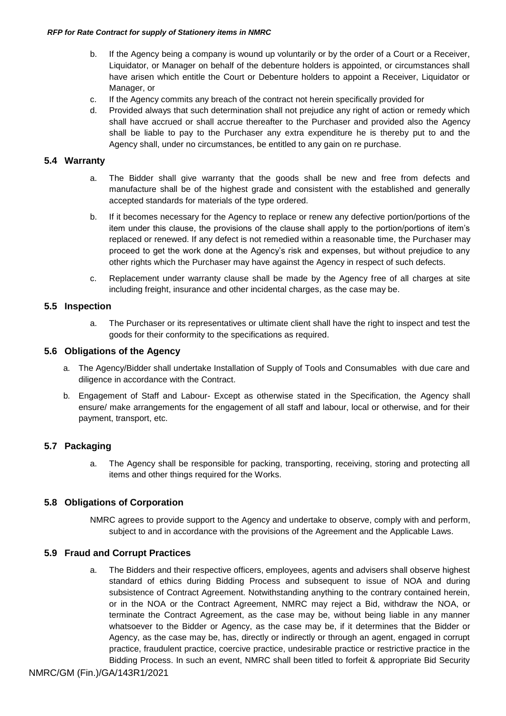- b. If the Agency being a company is wound up voluntarily or by the order of a Court or a Receiver, Liquidator, or Manager on behalf of the debenture holders is appointed, or circumstances shall have arisen which entitle the Court or Debenture holders to appoint a Receiver, Liquidator or Manager, or
- c. If the Agency commits any breach of the contract not herein specifically provided for
- d. Provided always that such determination shall not prejudice any right of action or remedy which shall have accrued or shall accrue thereafter to the Purchaser and provided also the Agency shall be liable to pay to the Purchaser any extra expenditure he is thereby put to and the Agency shall, under no circumstances, be entitled to any gain on re purchase.

# **5.4 Warranty**

- a. The Bidder shall give warranty that the goods shall be new and free from defects and manufacture shall be of the highest grade and consistent with the established and generally accepted standards for materials of the type ordered.
- b. If it becomes necessary for the Agency to replace or renew any defective portion/portions of the item under this clause, the provisions of the clause shall apply to the portion/portions of item"s replaced or renewed. If any defect is not remedied within a reasonable time, the Purchaser may proceed to get the work done at the Agency"s risk and expenses, but without prejudice to any other rights which the Purchaser may have against the Agency in respect of such defects.
- c. Replacement under warranty clause shall be made by the Agency free of all charges at site including freight, insurance and other incidental charges, as the case may be.

# **5.5 Inspection**

a. The Purchaser or its representatives or ultimate client shall have the right to inspect and test the goods for their conformity to the specifications as required.

# **5.6 Obligations of the Agency**

- a. The Agency/Bidder shall undertake Installation of Supply of Tools and Consumables with due care and diligence in accordance with the Contract.
- b. Engagement of Staff and Labour- Except as otherwise stated in the Specification, the Agency shall ensure/ make arrangements for the engagement of all staff and labour, local or otherwise, and for their payment, transport, etc.

# **5.7 Packaging**

a. The Agency shall be responsible for packing, transporting, receiving, storing and protecting all items and other things required for the Works.

# **5.8 Obligations of Corporation**

NMRC agrees to provide support to the Agency and undertake to observe, comply with and perform, subject to and in accordance with the provisions of the Agreement and the Applicable Laws.

### <span id="page-26-0"></span>**5.9 Fraud and Corrupt Practices**

a. The Bidders and their respective officers, employees, agents and advisers shall observe highest standard of ethics during Bidding Process and subsequent to issue of NOA and during subsistence of Contract Agreement. Notwithstanding anything to the contrary contained herein, or in the NOA or the Contract Agreement, NMRC may reject a Bid, withdraw the NOA, or terminate the Contract Agreement, as the case may be, without being liable in any manner whatsoever to the Bidder or Agency, as the case may be, if it determines that the Bidder or Agency, as the case may be, has, directly or indirectly or through an agent, engaged in corrupt practice, fraudulent practice, coercive practice, undesirable practice or restrictive practice in the Bidding Process. In such an event, NMRC shall been titled to forfeit & appropriate Bid Security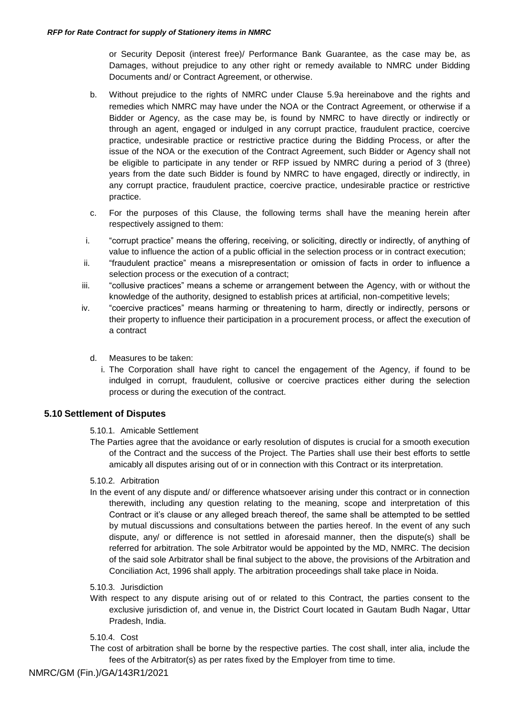or Security Deposit (interest free)/ Performance Bank Guarantee, as the case may be, as Damages, without prejudice to any other right or remedy available to NMRC under Bidding Documents and/ or Contract Agreement, or otherwise.

- b. Without prejudice to the rights of NMRC under Clause [5.9](#page-26-0)[a](#page-26-0) hereinabove and the rights and remedies which NMRC may have under the NOA or the Contract Agreement, or otherwise if a Bidder or Agency, as the case may be, is found by NMRC to have directly or indirectly or through an agent, engaged or indulged in any corrupt practice, fraudulent practice, coercive practice, undesirable practice or restrictive practice during the Bidding Process, or after the issue of the NOA or the execution of the Contract Agreement, such Bidder or Agency shall not be eligible to participate in any tender or RFP issued by NMRC during a period of 3 (three) years from the date such Bidder is found by NMRC to have engaged, directly or indirectly, in any corrupt practice, fraudulent practice, coercive practice, undesirable practice or restrictive practice.
- c. For the purposes of this Clause, the following terms shall have the meaning herein after respectively assigned to them:
- i. "corrupt practice" means the offering, receiving, or soliciting, directly or indirectly, of anything of value to influence the action of a public official in the selection process or in contract execution;
- ii. "fraudulent practice" means a misrepresentation or omission of facts in order to influence a selection process or the execution of a contract;
- iii. "collusive practices" means a scheme or arrangement between the Agency, with or without the knowledge of the authority, designed to establish prices at artificial, non-competitive levels;
- iv. "coercive practices" means harming or threatening to harm, directly or indirectly, persons or their property to influence their participation in a procurement process, or affect the execution of a contract
	- d. Measures to be taken:
	- i. The Corporation shall have right to cancel the engagement of the Agency, if found to be indulged in corrupt, fraudulent, collusive or coercive practices either during the selection process or during the execution of the contract.

### **5.10 Settlement of Disputes**

### 5.10.1. Amicable Settlement

The Parties agree that the avoidance or early resolution of disputes is crucial for a smooth execution of the Contract and the success of the Project. The Parties shall use their best efforts to settle amicably all disputes arising out of or in connection with this Contract or its interpretation.

### 5.10.2. Arbitration

In the event of any dispute and/ or difference whatsoever arising under this contract or in connection therewith, including any question relating to the meaning, scope and interpretation of this Contract or it"s clause or any alleged breach thereof, the same shall be attempted to be settled by mutual discussions and consultations between the parties hereof. In the event of any such dispute, any/ or difference is not settled in aforesaid manner, then the dispute(s) shall be referred for arbitration. The sole Arbitrator would be appointed by the MD, NMRC. The decision of the said sole Arbitrator shall be final subject to the above, the provisions of the Arbitration and Conciliation Act, 1996 shall apply. The arbitration proceedings shall take place in Noida.

### 5.10.3. Jurisdiction

With respect to any dispute arising out of or related to this Contract, the parties consent to the exclusive jurisdiction of, and venue in, the District Court located in Gautam Budh Nagar, Uttar Pradesh, India.

### 5.10.4. Cost

The cost of arbitration shall be borne by the respective parties. The cost shall, inter alia, include the fees of the Arbitrator(s) as per rates fixed by the Employer from time to time.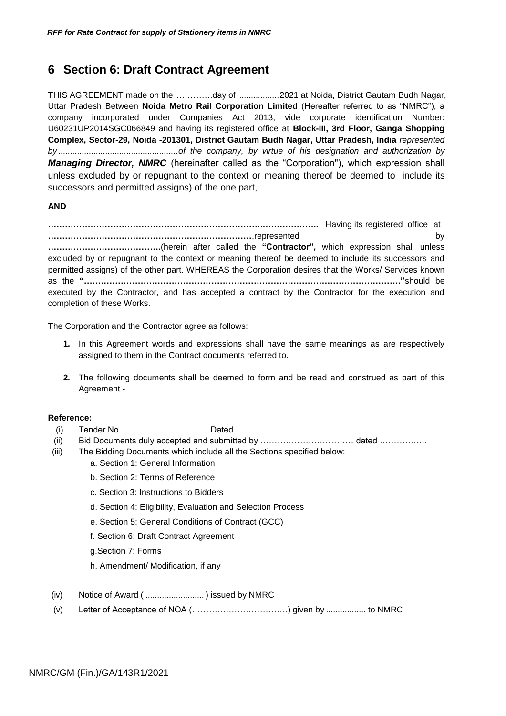# <span id="page-28-0"></span>**6 Section 6: Draft Contract Agreement**

THIS AGREEMENT made on the ………….day of ..................2021 at Noida, District Gautam Budh Nagar, Uttar Pradesh Between **Noida Metro Rail Corporation Limited** (Hereafter referred to as "NMRC"), a company incorporated under Companies Act 2013, vide corporate identification Number: U60231UP2014SGC066849 and having its registered office at **Block-III, 3rd Floor, Ganga Shopping Complex, Sector-29, Noida -201301, District Gautam Budh Nagar, Uttar Pradesh, India** *represented by ...................................................of the company, by virtue of his designation and authorization by Managing Director, NMRC* (hereinafter called as the "Corporation"), which expression shall unless excluded by or repugnant to the context or meaning thereof be deemed to include its successors and permitted assigns) of the one part,

### **AND**

**………………………………………………………………….………………..** Having its registered office at **………………………………………………………………**,represented by **………………………………….**(herein after called the **"Contractor",** which expression shall unless excluded by or repugnant to the context or meaning thereof be deemed to include its successors and permitted assigns) of the other part. WHEREAS the Corporation desires that the Works/ Services known as the **"…………………………………………………………………………………………………."**should be executed by the Contractor, and has accepted a contract by the Contractor for the execution and completion of these Works.

The Corporation and the Contractor agree as follows:

- **1.** In this Agreement words and expressions shall have the same meanings as are respectively assigned to them in the Contract documents referred to.
- **2.** The following documents shall be deemed to form and be read and construed as part of this Agreement -

### **Reference:**

- (i) Tender No. ………………………… Dated ………………..
- (ii) Bid Documents duly accepted and submitted by ………………………………………………………………………………
- (iii) The Bidding Documents which include all the Sections specified below:
	- a. Section 1: General Information
	- b. Section 2: Terms of Reference
	- c. Section 3: Instructions to Bidders
	- d. Section 4: Eligibility, Evaluation and Selection Process
	- e. Section 5: General Conditions of Contract (GCC)
	- f. Section 6: Draft Contract Agreement
	- g.Section 7: Forms
	- h. Amendment/ Modification, if any
- (iv) Notice of Award ( ......................... ) issued by NMRC
- (v) Letter of Acceptance of NOA (…………………………….) given by ................. to NMRC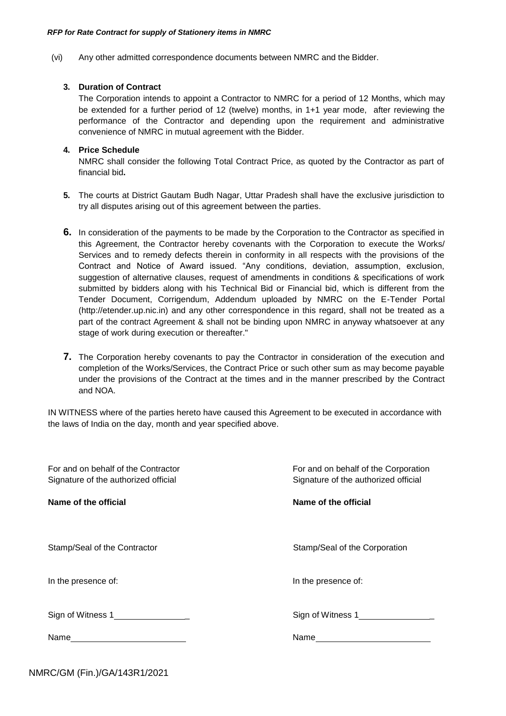(vi) Any other admitted correspondence documents between NMRC and the Bidder.

### **3. Duration of Contract**

The Corporation intends to appoint a Contractor to NMRC for a period of 12 Months, which may be extended for a further period of 12 (twelve) months, in 1+1 year mode, after reviewing the performance of the Contractor and depending upon the requirement and administrative convenience of NMRC in mutual agreement with the Bidder.

### **4. Price Schedule**

NMRC shall consider the following Total Contract Price, as quoted by the Contractor as part of financial bid**.**

- **5.** The courts at District Gautam Budh Nagar, Uttar Pradesh shall have the exclusive jurisdiction to try all disputes arising out of this agreement between the parties.
- **6.** In consideration of the payments to be made by the Corporation to the Contractor as specified in this Agreement, the Contractor hereby covenants with the Corporation to execute the Works/ Services and to remedy defects therein in conformity in all respects with the provisions of the Contract and Notice of Award issued. "Any conditions, deviation, assumption, exclusion, suggestion of alternative clauses, request of amendments in conditions & specifications of work submitted by bidders along with his Technical Bid or Financial bid, which is different from the Tender Document, Corrigendum, Addendum uploaded by NMRC on the E-Tender Portal (http://etender.up.nic.in) and any other correspondence in this regard, shall not be treated as a part of the contract Agreement & shall not be binding upon NMRC in anyway whatsoever at any stage of work during execution or thereafter."
- **7.** The Corporation hereby covenants to pay the Contractor in consideration of the execution and completion of the Works/Services, the Contract Price or such other sum as may become payable under the provisions of the Contract at the times and in the manner prescribed by the Contract and NOA.

IN WITNESS where of the parties hereto have caused this Agreement to be executed in accordance with the laws of India on the day, month and year specified above.

| For and on behalf of the Contractor<br>Signature of the authorized official | For and on behalf of the Corporation<br>Signature of the authorized official |
|-----------------------------------------------------------------------------|------------------------------------------------------------------------------|
| Name of the official                                                        | Name of the official                                                         |
|                                                                             |                                                                              |
| Stamp/Seal of the Contractor                                                | Stamp/Seal of the Corporation                                                |
| In the presence of:                                                         | In the presence of:                                                          |
| Sign of Witness 1_________________                                          | Sign of Witness 1                                                            |
|                                                                             |                                                                              |
|                                                                             |                                                                              |

NMRC/GM (Fin.)/GA/143R1/2021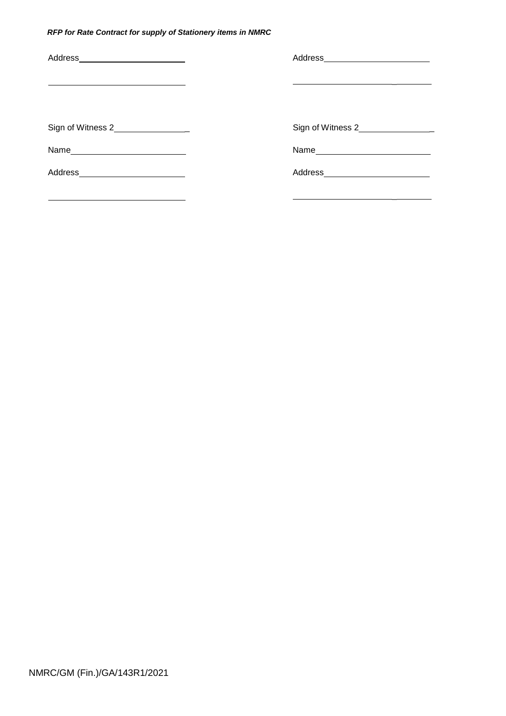| Address_________________________   |                                    |
|------------------------------------|------------------------------------|
|                                    |                                    |
| Sign of Witness 2_________________ | Sign of Witness 2_________________ |
|                                    |                                    |
| Address__________________________  |                                    |
|                                    |                                    |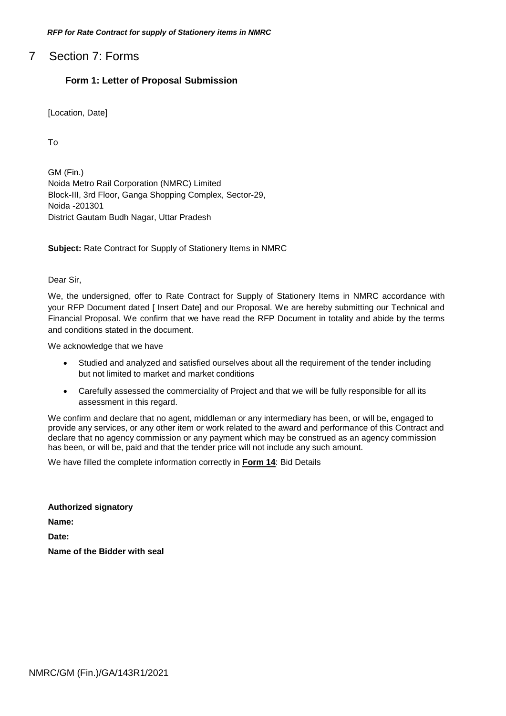<span id="page-31-0"></span>7 Section 7: Forms

# **Form 1: Letter of Proposal Submission**

[Location, Date]

To

GM (Fin.) Noida Metro Rail Corporation (NMRC) Limited Block-III, 3rd Floor, Ganga Shopping Complex, Sector-29, Noida -201301 District Gautam Budh Nagar, Uttar Pradesh

**Subject:** Rate Contract for Supply of Stationery Items in NMRC

Dear Sir,

We, the undersigned, offer to Rate Contract for Supply of Stationery Items in NMRC accordance with your RFP Document dated [ Insert Date] and our Proposal. We are hereby submitting our Technical and Financial Proposal. We confirm that we have read the RFP Document in totality and abide by the terms and conditions stated in the document.

We acknowledge that we have

- Studied and analyzed and satisfied ourselves about all the requirement of the tender including but not limited to market and market conditions
- Carefully assessed the commerciality of Project and that we will be fully responsible for all its assessment in this regard.

We confirm and declare that no agent, middleman or any intermediary has been, or will be, engaged to provide any services, or any other item or work related to the award and performance of this Contract and declare that no agency commission or any payment which may be construed as an agency commission has been, or will be, paid and that the tender price will not include any such amount.

We have filled the complete information correctly in **Form 14**: Bid Details

**Authorized signatory Name: Date: Name of the Bidder with seal**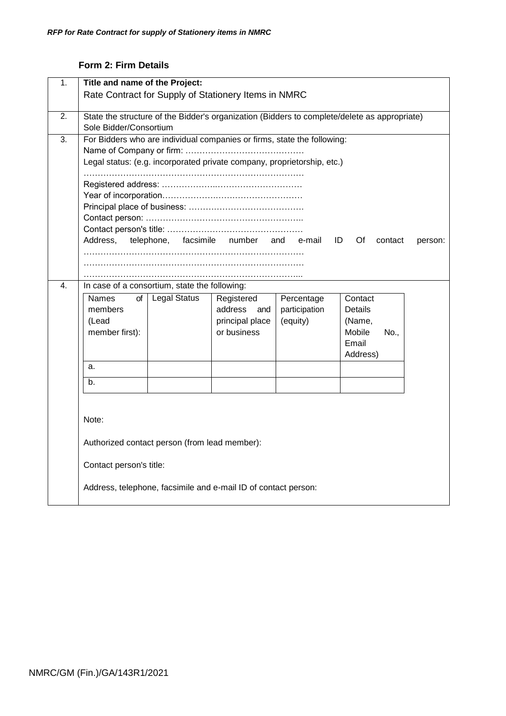# **Form 2: Firm Details**

<span id="page-32-0"></span>

| 1. | Title and name of the Project:                                                               |                     |                                                                         |               |                     |         |
|----|----------------------------------------------------------------------------------------------|---------------------|-------------------------------------------------------------------------|---------------|---------------------|---------|
|    | Rate Contract for Supply of Stationery Items in NMRC                                         |                     |                                                                         |               |                     |         |
| 2. | State the structure of the Bidder's organization (Bidders to complete/delete as appropriate) |                     |                                                                         |               |                     |         |
|    | Sole Bidder/Consortium                                                                       |                     |                                                                         |               |                     |         |
| 3. |                                                                                              |                     | For Bidders who are individual companies or firms, state the following: |               |                     |         |
|    |                                                                                              |                     |                                                                         |               |                     |         |
|    |                                                                                              |                     | Legal status: (e.g. incorporated private company, proprietorship, etc.) |               |                     |         |
|    |                                                                                              |                     |                                                                         |               |                     |         |
|    |                                                                                              |                     |                                                                         |               |                     |         |
|    |                                                                                              |                     |                                                                         |               |                     |         |
|    |                                                                                              |                     |                                                                         |               |                     |         |
|    |                                                                                              |                     |                                                                         |               |                     |         |
|    | Address,                                                                                     | telephone,          | facsimile number                                                        | and e-mail    | ID<br>Of<br>contact | person: |
|    |                                                                                              |                     |                                                                         |               |                     |         |
|    |                                                                                              |                     |                                                                         |               |                     |         |
| 4. | In case of a consortium, state the following:                                                |                     |                                                                         |               |                     |         |
|    | Names<br>οf                                                                                  | <b>Legal Status</b> | Registered                                                              | Percentage    | Contact             |         |
|    | members                                                                                      |                     | address<br>and                                                          | participation | Details             |         |
|    | (Lead                                                                                        |                     | principal place                                                         | (equity)      | (Name,              |         |
|    | member first):                                                                               |                     | or business                                                             |               | Mobile<br>No.,      |         |
|    |                                                                                              |                     |                                                                         |               | Email               |         |
|    |                                                                                              |                     |                                                                         |               | Address)            |         |
|    | a.                                                                                           |                     |                                                                         |               |                     |         |
|    | b <sub>1</sub>                                                                               |                     |                                                                         |               |                     |         |
|    |                                                                                              |                     |                                                                         |               |                     |         |
|    |                                                                                              |                     |                                                                         |               |                     |         |
|    | Note:                                                                                        |                     |                                                                         |               |                     |         |
|    |                                                                                              |                     |                                                                         |               |                     |         |
|    | Authorized contact person (from lead member):                                                |                     |                                                                         |               |                     |         |
|    | Contact person's title:                                                                      |                     |                                                                         |               |                     |         |
|    |                                                                                              |                     | Address, telephone, facsimile and e-mail ID of contact person:          |               |                     |         |
|    |                                                                                              |                     |                                                                         |               |                     |         |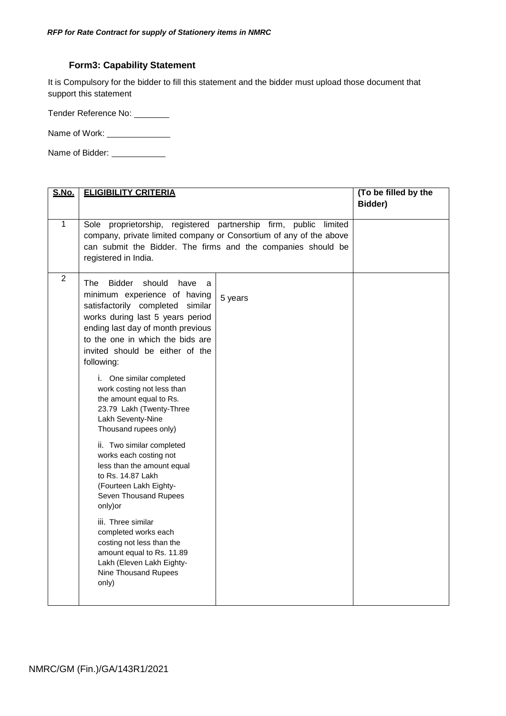# **Form3: Capability Statement**

<span id="page-33-0"></span>It is Compulsory for the bidder to fill this statement and the bidder must upload those document that support this statement

Tender Reference No:

Name of Work: \_\_\_\_\_\_\_\_\_\_\_\_\_\_\_\_

Name of Bidder: \_\_\_\_\_\_\_\_\_\_\_\_\_\_

| <u>S.No.</u>   | <b>ELIGIBILITY CRITERIA</b>                                                                                                                                                                                                                                                   |         | (To be filled by the<br>Bidder) |
|----------------|-------------------------------------------------------------------------------------------------------------------------------------------------------------------------------------------------------------------------------------------------------------------------------|---------|---------------------------------|
| $\overline{1}$ | Sole proprietorship, registered partnership firm, public limited<br>company, private limited company or Consortium of any of the above<br>can submit the Bidder. The firms and the companies should be<br>registered in India.                                                |         |                                 |
| $\overline{2}$ | The<br><b>Bidder</b><br>should<br>have<br>a<br>minimum experience of having<br>satisfactorily completed similar<br>works during last 5 years period<br>ending last day of month previous<br>to the one in which the bids are<br>invited should be either of the<br>following: | 5 years |                                 |
|                | i. One similar completed<br>work costing not less than<br>the amount equal to Rs.<br>23.79 Lakh (Twenty-Three<br>Lakh Seventy-Nine<br>Thousand rupees only)<br>ii. Two similar completed<br>works each costing not<br>less than the amount equal<br>to Rs. 14.87 Lakh         |         |                                 |
|                | (Fourteen Lakh Eighty-<br>Seven Thousand Rupees<br>only) or                                                                                                                                                                                                                   |         |                                 |
|                | iii. Three similar<br>completed works each<br>costing not less than the<br>amount equal to Rs. 11.89<br>Lakh (Eleven Lakh Eighty-<br>Nine Thousand Rupees<br>only)                                                                                                            |         |                                 |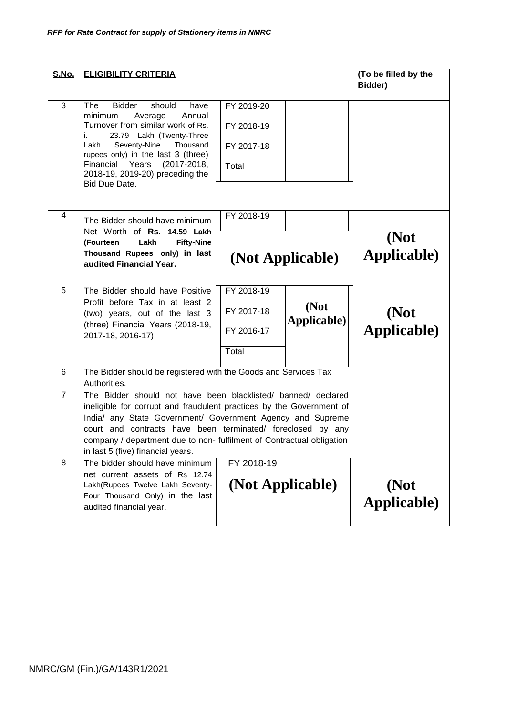| <b>S.No.</b>   | <b>ELIGIBILITY CRITERIA</b>                                                                                                                                                                                                                                                                                                                                                      | (To be filled by the<br>Bidder)                 |                             |                     |
|----------------|----------------------------------------------------------------------------------------------------------------------------------------------------------------------------------------------------------------------------------------------------------------------------------------------------------------------------------------------------------------------------------|-------------------------------------------------|-----------------------------|---------------------|
| 3              | <b>Bidder</b><br>should<br>The<br>have<br>minimum<br>Average<br>Annual<br>Turnover from similar work of Rs.<br>23.79 Lakh (Twenty-Three<br>i.<br>Seventy-Nine<br>Thousand<br>Lakh<br>rupees only) in the last 3 (three)<br>Financial Years<br>$(2017 - 2018,$<br>2018-19, 2019-20) preceding the<br>Bid Due Date.                                                                | FY 2019-20<br>FY 2018-19<br>FY 2017-18<br>Total |                             |                     |
| 4              | The Bidder should have minimum<br>Net Worth of Rs. 14.59 Lakh<br><b>Fifty-Nine</b><br>(Fourteen<br>Lakh<br>Thousand Rupees only) in last<br>audited Financial Year.                                                                                                                                                                                                              | FY 2018-19<br>(Not Applicable)                  |                             | (Not<br>Applicable) |
| 5              | The Bidder should have Positive<br>Profit before Tax in at least 2<br>(two) years, out of the last 3<br>(three) Financial Years (2018-19,<br>2017-18, 2016-17)                                                                                                                                                                                                                   | FY 2018-19<br>FY 2017-18<br>FY 2016-17<br>Total | (Not<br><b>Applicable</b> ) | (Not<br>Applicable) |
| 6              | The Bidder should be registered with the Goods and Services Tax<br>Authorities.                                                                                                                                                                                                                                                                                                  |                                                 |                             |                     |
| $\overline{7}$ | The Bidder should not have been blacklisted/ banned/ declared<br>ineligible for corrupt and fraudulent practices by the Government of<br>India/ any State Government/ Government Agency and Supreme<br>court and contracts have been terminated/ foreclosed by any<br>company / department due to non- fulfilment of Contractual obligation<br>in last 5 (five) financial years. |                                                 |                             |                     |
| 8              | The bidder should have minimum<br>net current assets of Rs 12.74<br>Lakh(Rupees Twelve Lakh Seventy-<br>Four Thousand Only) in the last<br>audited financial year.                                                                                                                                                                                                               | FY 2018-19<br>(Not Applicable)                  |                             | (Not<br>Applicable) |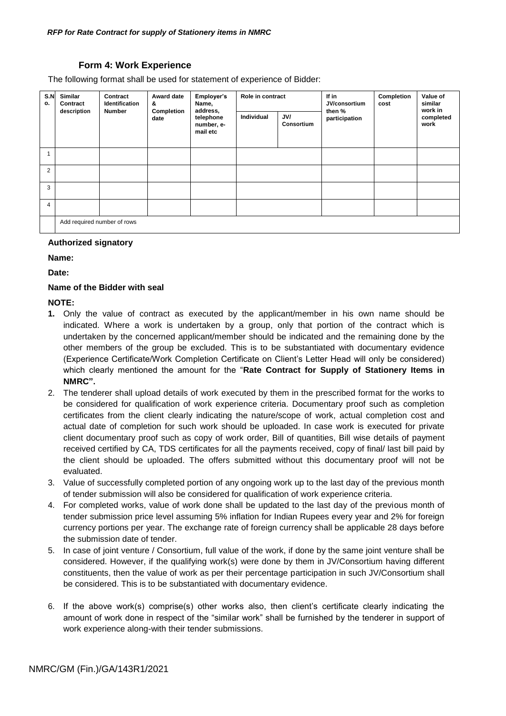### **Form 4: Work Experience**

<span id="page-35-0"></span>The following format shall be used for statement of experience of Bidder:

| S.N<br>о. | Similar<br>Contract         | Contract<br><b>Identification</b> | Award date<br>&    | Employer's<br>Name,                             | Role in contract |                                    |        |                   |  |  |  |  |  |  |  |  |  |  | If in<br>JV/consortium | Completion<br>cost | Value of<br>similar<br>work in |
|-----------|-----------------------------|-----------------------------------|--------------------|-------------------------------------------------|------------------|------------------------------------|--------|-------------------|--|--|--|--|--|--|--|--|--|--|------------------------|--------------------|--------------------------------|
|           | description                 | <b>Number</b>                     | Completion<br>date | address,<br>telephone<br>number, e-<br>mail etc | Individual       | JV/<br>participation<br>Consortium | then % | completed<br>work |  |  |  |  |  |  |  |  |  |  |                        |                    |                                |
|           |                             |                                   |                    |                                                 |                  |                                    |        |                   |  |  |  |  |  |  |  |  |  |  |                        |                    |                                |
| 2         |                             |                                   |                    |                                                 |                  |                                    |        |                   |  |  |  |  |  |  |  |  |  |  |                        |                    |                                |
| 3         |                             |                                   |                    |                                                 |                  |                                    |        |                   |  |  |  |  |  |  |  |  |  |  |                        |                    |                                |
| 4         |                             |                                   |                    |                                                 |                  |                                    |        |                   |  |  |  |  |  |  |  |  |  |  |                        |                    |                                |
|           | Add required number of rows |                                   |                    |                                                 |                  |                                    |        |                   |  |  |  |  |  |  |  |  |  |  |                        |                    |                                |

### **Authorized signatory**

**Name:**

**Date:**

### **Name of the Bidder with seal**

### **NOTE:**

- **1.** Only the value of contract as executed by the applicant/member in his own name should be indicated. Where a work is undertaken by a group, only that portion of the contract which is undertaken by the concerned applicant/member should be indicated and the remaining done by the other members of the group be excluded. This is to be substantiated with documentary evidence (Experience Certificate/Work Completion Certificate on Client"s Letter Head will only be considered) which clearly mentioned the amount for the "**Rate Contract for Supply of Stationery Items in NMRC".**
- 2. The tenderer shall upload details of work executed by them in the prescribed format for the works to be considered for qualification of work experience criteria. Documentary proof such as completion certificates from the client clearly indicating the nature/scope of work, actual completion cost and actual date of completion for such work should be uploaded. In case work is executed for private client documentary proof such as copy of work order, Bill of quantities, Bill wise details of payment received certified by CA, TDS certificates for all the payments received, copy of final/ last bill paid by the client should be uploaded. The offers submitted without this documentary proof will not be evaluated.
- 3. Value of successfully completed portion of any ongoing work up to the last day of the previous month of tender submission will also be considered for qualification of work experience criteria.
- 4. For completed works, value of work done shall be updated to the last day of the previous month of tender submission price level assuming 5% inflation for Indian Rupees every year and 2% for foreign currency portions per year. The exchange rate of foreign currency shall be applicable 28 days before the submission date of tender.
- 5. In case of joint venture / Consortium, full value of the work, if done by the same joint venture shall be considered. However, if the qualifying work(s) were done by them in JV/Consortium having different constituents, then the value of work as per their percentage participation in such JV/Consortium shall be considered. This is to be substantiated with documentary evidence.
- 6. If the above work(s) comprise(s) other works also, then client"s certificate clearly indicating the amount of work done in respect of the "similar work" shall be furnished by the tenderer in support of work experience along-with their tender submissions.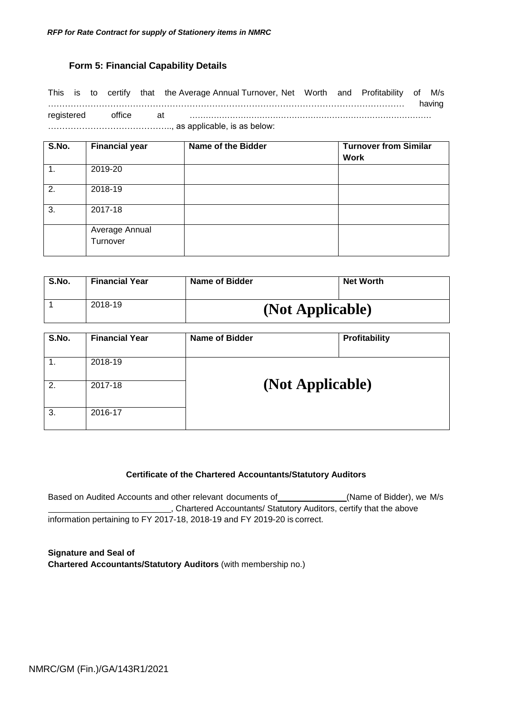# **Form 5: Financial Capability Details**

<span id="page-36-0"></span>This is to certify that the Average Annual Turnover, Net Worth and Profitability of M/s ……………………………………………………………………………………………………………… having registered office at ……………………………………………………………………………… …………………………………….., as applicable, is as below:

| S.No. | <b>Financial year</b> | Name of the Bidder | <b>Turnover from Similar</b><br><b>Work</b> |
|-------|-----------------------|--------------------|---------------------------------------------|
| 1.    | 2019-20               |                    |                                             |
| 2.    | 2018-19               |                    |                                             |
| 3.    | 2017-18               |                    |                                             |
|       | Average Annual        |                    |                                             |
|       | Turnover              |                    |                                             |

| S.No. | <b>Financial Year</b> | <b>Name of Bidder</b> | <b>Net Worth</b> |
|-------|-----------------------|-----------------------|------------------|
|       | 2018-19               | (Not Applicable)      |                  |

| S.No. | <b>Financial Year</b> | <b>Name of Bidder</b> | Profitability |
|-------|-----------------------|-----------------------|---------------|
|       | 2018-19               |                       |               |
| 2.    | 2017-18               | (Not Applicable)      |               |
| 3.    | 2016-17               |                       |               |

### **Certificate of the Chartered Accountants/Statutory Auditors**

Based on Audited Accounts and other relevant documents of \_\_\_\_\_\_\_\_\_\_\_\_\_(Name of Bidder), we M/s , Chartered Accountants/ Statutory Auditors, certify that the above information pertaining to FY 2017-18, 2018-19 and FY 2019-20 is correct.

**Signature and Seal of Chartered Accountants/Statutory Auditors** (with membership no.)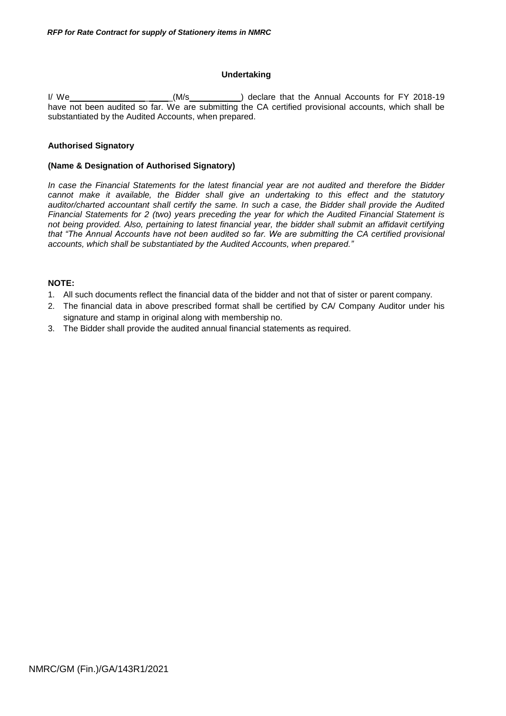### **Undertaking**

I/ We \_ \_(M/s ) declare that the Annual Accounts for FY 2018-19 have not been audited so far. We are submitting the CA certified provisional accounts, which shall be substantiated by the Audited Accounts, when prepared.

### **Authorised Signatory**

#### **(Name & Designation of Authorised Signatory)**

*In case the Financial Statements for the latest financial year are not audited and therefore the Bidder cannot make it available, the Bidder shall give an undertaking to this effect and the statutory auditor/charted accountant shall certify the same. In such a case, the Bidder shall provide the Audited Financial Statements for 2 (two) years preceding the year for which the Audited Financial Statement is not being provided. Also, pertaining to latest financial year, the bidder shall submit an affidavit certifying that "The Annual Accounts have not been audited so far. We are submitting the CA certified provisional accounts, which shall be substantiated by the Audited Accounts, when prepared."*

### **NOTE:**

- 1. All such documents reflect the financial data of the bidder and not that of sister or parent company.
- 2. The financial data in above prescribed format shall be certified by CA/ Company Auditor under his signature and stamp in original along with membership no.
- 3. The Bidder shall provide the audited annual financial statements as required.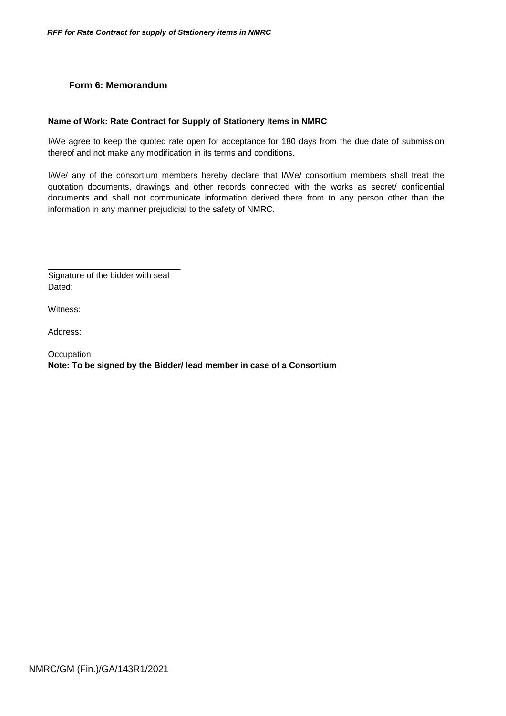# **Form 6: Memorandum**

### <span id="page-38-0"></span>**Name of Work: Rate Contract for Supply of Stationery Items in NMRC**

I/We agree to keep the quoted rate open for acceptance for 180 days from the due date of submission thereof and not make any modification in its terms and conditions.

I/We/ any of the consortium members hereby declare that I/We/ consortium members shall treat the quotation documents, drawings and other records connected with the works as secret/ confidential documents and shall not communicate information derived there from to any person other than the information in any manner prejudicial to the safety of NMRC.

Signature of the bidder with seal Dated:

Witness:

Address:

**Occupation Note: To be signed by the Bidder/ lead member in case of a Consortium**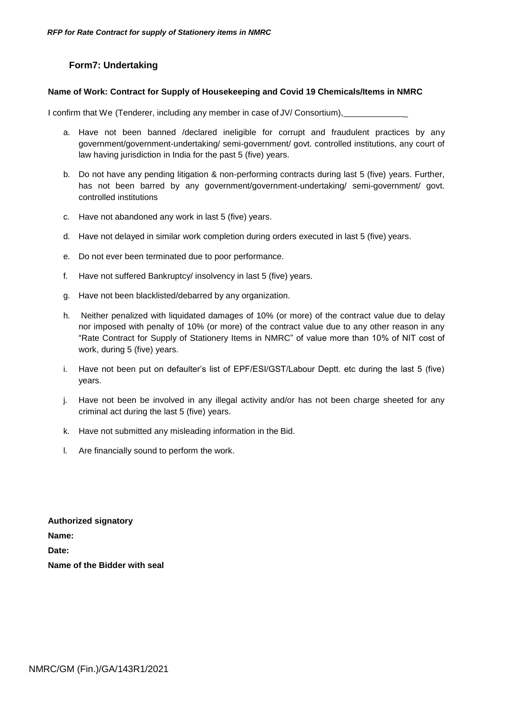# **Form7: Undertaking**

### <span id="page-39-0"></span>**Name of Work: Contract for Supply of Housekeeping and Covid 19 Chemicals/Items in NMRC**

I confirm that We (Tenderer, including any member in case of JV/ Consortium), \_

- a. Have not been banned /declared ineligible for corrupt and fraudulent practices by any government/government-undertaking/ semi-government/ govt. controlled institutions, any court of law having jurisdiction in India for the past 5 (five) years.
- b. Do not have any pending litigation & non-performing contracts during last 5 (five) years. Further, has not been barred by any government/government-undertaking/ semi-government/ govt. controlled institutions
- c. Have not abandoned any work in last 5 (five) years.
- d. Have not delayed in similar work completion during orders executed in last 5 (five) years.
- e. Do not ever been terminated due to poor performance.
- f. Have not suffered Bankruptcy/ insolvency in last 5 (five) years.
- g. Have not been blacklisted/debarred by any organization.
- h. Neither penalized with liquidated damages of 10% (or more) of the contract value due to delay nor imposed with penalty of 10% (or more) of the contract value due to any other reason in any "Rate Contract for Supply of Stationery Items in NMRC" of value more than 10% of NIT cost of work, during 5 (five) years.
- i. Have not been put on defaulter"s list of EPF/ESI/GST/Labour Deptt. etc during the last 5 (five) years.
- j. Have not been be involved in any illegal activity and/or has not been charge sheeted for any criminal act during the last 5 (five) years.
- k. Have not submitted any misleading information in the Bid.
- l. Are financially sound to perform the work.

**Authorized signatory Name: Date: Name of the Bidder with seal**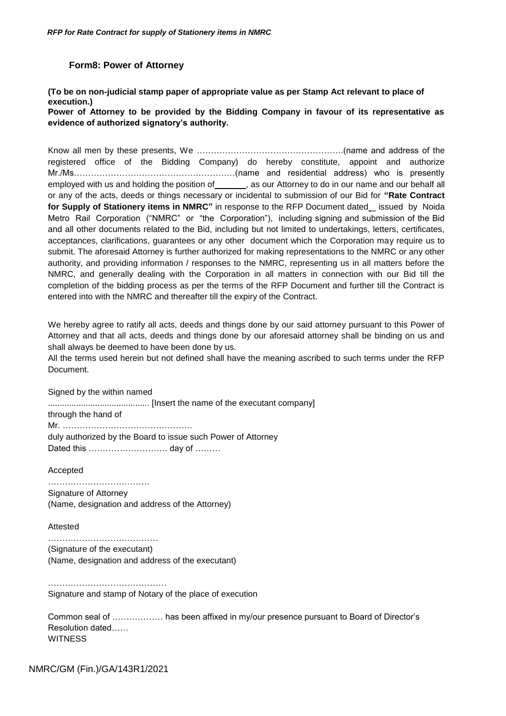#### **Form8: Power of Attorney**

<span id="page-40-0"></span>**(To be on non-judicial stamp paper of appropriate value as per Stamp Act relevant to place of execution.)**

**Power of Attorney to be provided by the Bidding Company in favour of its representative as evidence of authorized signatory's authority.**

Know all men by these presents, We …………………………………………….(name and address of the registered office of the Bidding Company) do hereby constitute, appoint and authorize Mr./Ms…………………………………………………(name and residential address) who is presently employed with us and holding the position of \_\_\_\_\_\_\_, as our Attorney to do in our name and our behalf all or any of the acts, deeds or things necessary or incidental to submission of our Bid for **"Rate Contract**  for Supply of Stationery items in NMRC" in response to the RFP Document dated\_ issued by Noida Metro Rail Corporation ("NMRC" or "the Corporation"), including signing and submission of the Bid and all other documents related to the Bid, including but not limited to undertakings, letters, certificates, acceptances, clarifications, guarantees or any other document which the Corporation may require us to submit. The aforesaid Attorney is further authorized for making representations to the NMRC or any other authority, and providing information / responses to the NMRC, representing us in all matters before the NMRC, and generally dealing with the Corporation in all matters in connection with our Bid till the completion of the bidding process as per the terms of the RFP Document and further till the Contract is entered into with the NMRC and thereafter till the expiry of the Contract.

We hereby agree to ratify all acts, deeds and things done by our said attorney pursuant to this Power of Attorney and that all acts, deeds and things done by our aforesaid attorney shall be binding on us and shall always be deemed to have been done by us.

All the terms used herein but not defined shall have the meaning ascribed to such terms under the RFP Document.

Signed by the within named

........................................... [Insert the name of the executant company] through the hand of Mr. ………………………………………. duly authorized by the Board to issue such Power of Attorney Dated this ………………………. day of ………

Accepted

……………………………… Signature of Attorney (Name, designation and address of the Attorney)

Attested

……………………………………… (Signature of the executant) (Name, designation and address of the executant)

…………………………………… Signature and stamp of Notary of the place of execution

Common seal of ……………… has been affixed in my/our presence pursuant to Board of Director"s Resolution dated…… **WITNESS** 

NMRC/GM (Fin.)/GA/143R1/2021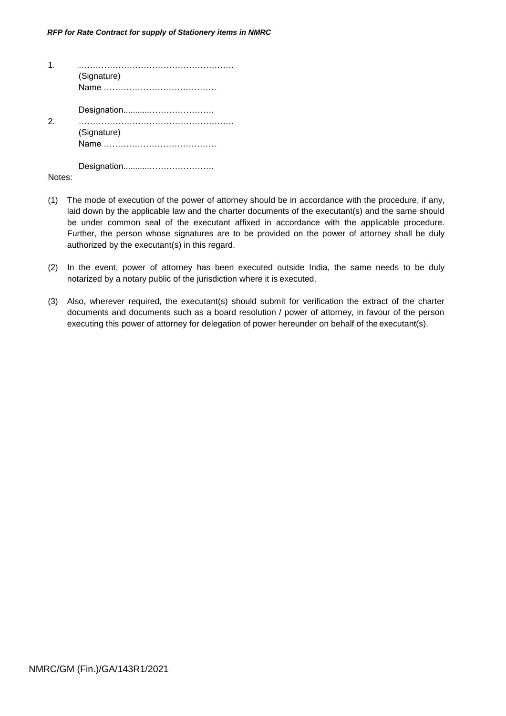|               | (Signature) |
|---------------|-------------|
| $\mathcal{P}$ |             |
|               | (Signature) |
|               |             |

Notes:

- (1) The mode of execution of the power of attorney should be in accordance with the procedure, if any, laid down by the applicable law and the charter documents of the executant(s) and the same should be under common seal of the executant affixed in accordance with the applicable procedure. Further, the person whose signatures are to be provided on the power of attorney shall be duly authorized by the executant(s) in this regard.
- (2) In the event, power of attorney has been executed outside India, the same needs to be duly notarized by a notary public of the jurisdiction where it is executed.
- (3) Also, wherever required, the executant(s) should submit for verification the extract of the charter documents and documents such as a board resolution / power of attorney, in favour of the person executing this power of attorney for delegation of power hereunder on behalf of the executant(s).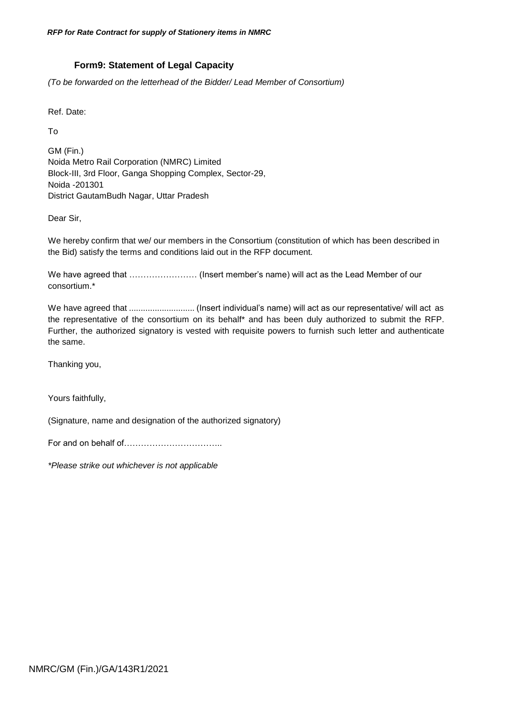# **Form9: Statement of Legal Capacity**

<span id="page-42-0"></span>*(To be forwarded on the letterhead of the Bidder/ Lead Member of Consortium)*

Ref. Date:

To

GM (Fin.) Noida Metro Rail Corporation (NMRC) Limited Block-III, 3rd Floor, Ganga Shopping Complex, Sector-29, Noida -201301 District GautamBudh Nagar, Uttar Pradesh

Dear Sir,

We hereby confirm that we/ our members in the Consortium (constitution of which has been described in the Bid) satisfy the terms and conditions laid out in the RFP document.

We have agreed that …………………… (Insert member"s name) will act as the Lead Member of our consortium.\*

We have agreed that ............................ (Insert individual"s name) will act as our representative/ will act as the representative of the consortium on its behalf\* and has been duly authorized to submit the RFP. Further, the authorized signatory is vested with requisite powers to furnish such letter and authenticate the same.

Thanking you,

Yours faithfully,

(Signature, name and designation of the authorized signatory)

For and on behalf of……………………………..

*\*Please strike out whichever is not applicable*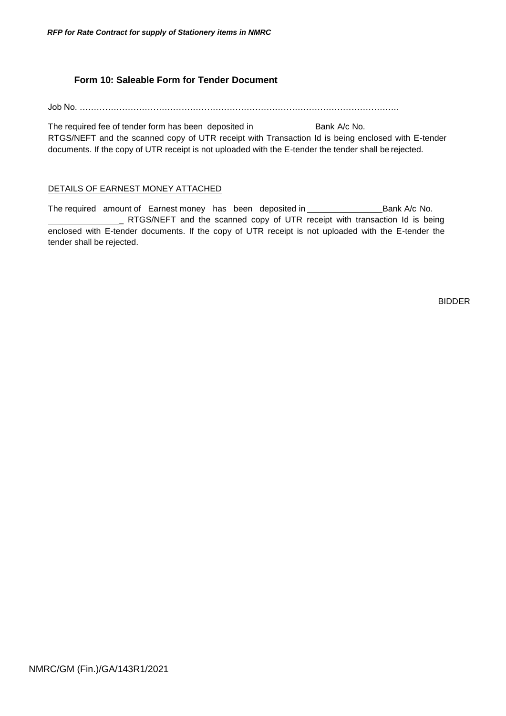# **Form 10: Saleable Form for Tender Document**

<span id="page-43-0"></span>Job No. …………………………………………………………………………………………………..

The required fee of tender form has been deposited in \_\_\_\_\_\_\_\_\_\_\_\_\_\_\_\_\_\_\_\_\_\_\_\_\_\_\_Bank A/c No. RTGS/NEFT and the scanned copy of UTR receipt with Transaction Id is being enclosed with E-tender documents. If the copy of UTR receipt is not uploaded with the E-tender the tender shall be rejected.

# DETAILS OF EARNEST MONEY ATTACHED

The required amount of Earnest money has been deposited in \_\_\_\_\_\_\_\_\_\_\_\_\_\_\_\_\_\_\_\_\_Bank A/c No. RTGS/NEFT and the scanned copy of UTR receipt with transaction Id is being enclosed with E-tender documents. If the copy of UTR receipt is not uploaded with the E-tender the tender shall be rejected.

BIDDER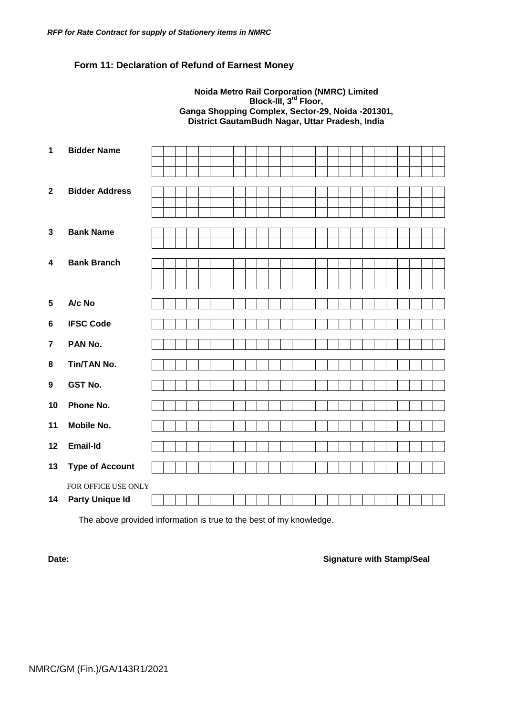# <span id="page-44-0"></span>**Form 11: Declaration of Refund of Earnest Money**

### **Noida Metro Rail Corporation (NMRC) Limited Block-III, 3rd Floor, Ganga Shopping Complex, Sector-29, Noida -201301, District GautamBudh Nagar, Uttar Pradesh, India**

| 1                       | <b>Bidder Name</b>     |  |  |  |  |  |  |  |  |  |  |  |
|-------------------------|------------------------|--|--|--|--|--|--|--|--|--|--|--|
|                         |                        |  |  |  |  |  |  |  |  |  |  |  |
|                         |                        |  |  |  |  |  |  |  |  |  |  |  |
| $\overline{2}$          | <b>Bidder Address</b>  |  |  |  |  |  |  |  |  |  |  |  |
|                         |                        |  |  |  |  |  |  |  |  |  |  |  |
|                         |                        |  |  |  |  |  |  |  |  |  |  |  |
|                         |                        |  |  |  |  |  |  |  |  |  |  |  |
| $\mathbf{3}$            | <b>Bank Name</b>       |  |  |  |  |  |  |  |  |  |  |  |
|                         |                        |  |  |  |  |  |  |  |  |  |  |  |
| $\overline{\mathbf{4}}$ | <b>Bank Branch</b>     |  |  |  |  |  |  |  |  |  |  |  |
|                         |                        |  |  |  |  |  |  |  |  |  |  |  |
|                         |                        |  |  |  |  |  |  |  |  |  |  |  |
|                         |                        |  |  |  |  |  |  |  |  |  |  |  |
| $5\phantom{.0}$         | A/c No                 |  |  |  |  |  |  |  |  |  |  |  |
| 6                       | <b>IFSC Code</b>       |  |  |  |  |  |  |  |  |  |  |  |
|                         |                        |  |  |  |  |  |  |  |  |  |  |  |
| $\overline{7}$          | PAN No.                |  |  |  |  |  |  |  |  |  |  |  |
| 8                       | Tin/TAN No.            |  |  |  |  |  |  |  |  |  |  |  |
|                         |                        |  |  |  |  |  |  |  |  |  |  |  |
| $\boldsymbol{9}$        | <b>GST No.</b>         |  |  |  |  |  |  |  |  |  |  |  |
| 10                      | Phone No.              |  |  |  |  |  |  |  |  |  |  |  |
|                         |                        |  |  |  |  |  |  |  |  |  |  |  |
| 11                      | <b>Mobile No.</b>      |  |  |  |  |  |  |  |  |  |  |  |
| 12                      | <b>Email-Id</b>        |  |  |  |  |  |  |  |  |  |  |  |
| 13                      | <b>Type of Account</b> |  |  |  |  |  |  |  |  |  |  |  |
|                         |                        |  |  |  |  |  |  |  |  |  |  |  |
|                         | FOR OFFICE USE ONLY    |  |  |  |  |  |  |  |  |  |  |  |
| 14                      | <b>Party Unique Id</b> |  |  |  |  |  |  |  |  |  |  |  |

The above provided information is true to the best of my knowledge.

### **Date: Date: Signature with Stamp/Seal**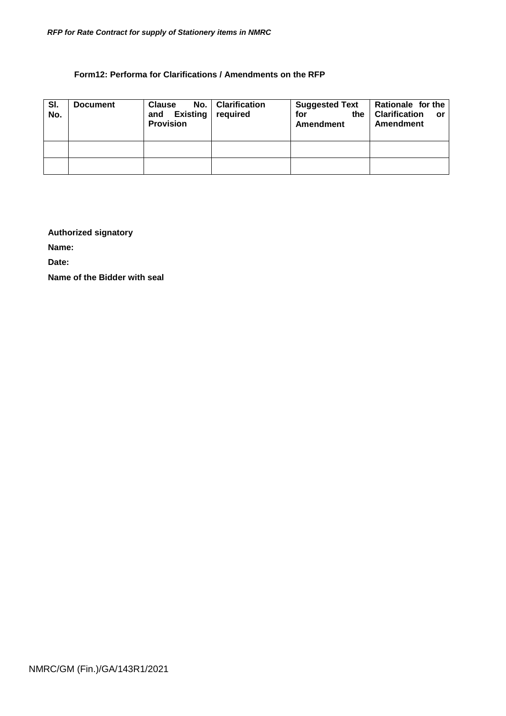# **Form12: Performa for Clarifications / Amendments on the RFP**

<span id="page-45-0"></span>

| SI.<br>No. | <b>Document</b> | <b>Clause</b><br>and<br><b>Provision</b> | No.   Clarification<br>Existing required | <b>Suggested Text</b><br>for<br>the<br>Amendment | Rationale for the<br><b>Clarification</b><br>$\overline{\mathbf{r}}$<br>Amendment |  |  |
|------------|-----------------|------------------------------------------|------------------------------------------|--------------------------------------------------|-----------------------------------------------------------------------------------|--|--|
|            |                 |                                          |                                          |                                                  |                                                                                   |  |  |
|            |                 |                                          |                                          |                                                  |                                                                                   |  |  |

# **Authorized signatory**

**Name:**

**Date:**

**Name of the Bidder with seal**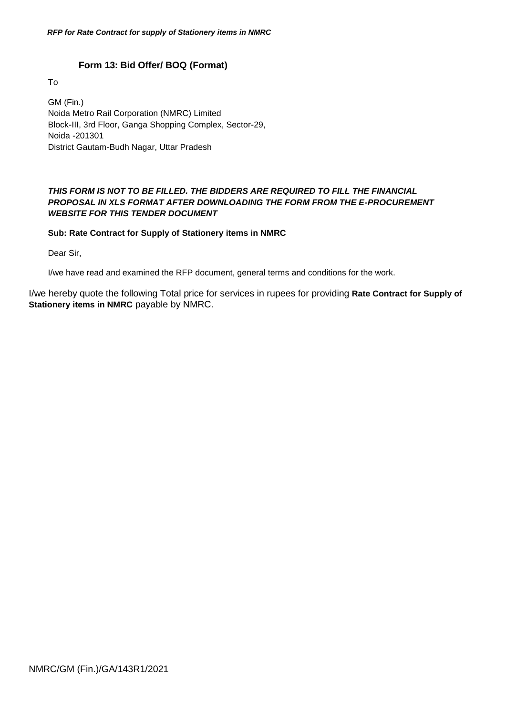# **Form 13: Bid Offer/ BOQ (Format)**

<span id="page-46-0"></span>To

GM (Fin.) Noida Metro Rail Corporation (NMRC) Limited Block-III, 3rd Floor, Ganga Shopping Complex, Sector-29, Noida -201301 District Gautam-Budh Nagar, Uttar Pradesh

# *THIS FORM IS NOT TO BE FILLED. THE BIDDERS ARE REQUIRED TO FILL THE FINANCIAL PROPOSAL IN XLS FORMAT AFTER DOWNLOADING THE FORM FROM THE E-PROCUREMENT WEBSITE FOR THIS TENDER DOCUMENT*

# **Sub: Rate Contract for Supply of Stationery items in NMRC**

Dear Sir,

I/we have read and examined the RFP document, general terms and conditions for the work.

I/we hereby quote the following Total price for services in rupees for providing **Rate Contract for Supply of Stationery items in NMRC** payable by NMRC.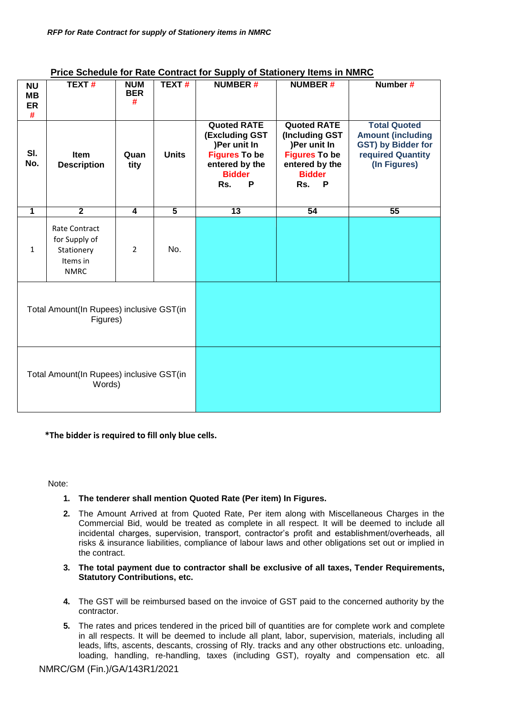|                                   |                                                                                |                               |                |                                                                                                                                    | <u>I He beneage for Rate Contract for Ouppry or Otationery Rems in NiniNo</u>                                                          |                                                                                                            |
|-----------------------------------|--------------------------------------------------------------------------------|-------------------------------|----------------|------------------------------------------------------------------------------------------------------------------------------------|----------------------------------------------------------------------------------------------------------------------------------------|------------------------------------------------------------------------------------------------------------|
| <b>NU</b><br><b>MB</b><br>ER<br># | <b>TEXT#</b>                                                                   | <b>NUM</b><br><b>BER</b><br># | TEXT#          | <b>NUMBER#</b>                                                                                                                     | <b>NUMBER#</b>                                                                                                                         | Number #                                                                                                   |
| SI.<br>No.                        | Item<br><b>Description</b>                                                     | Quan<br>tity                  | <b>Units</b>   | <b>Quoted RATE</b><br><b>(Excluding GST</b><br>)Per unit In<br><b>Figures To be</b><br>entered by the<br><b>Bidder</b><br>P<br>Rs. | <b>Quoted RATE</b><br>(Including GST<br>)Per unit In<br><b>Figures To be</b><br>entered by the<br><b>Bidder</b><br>Rs.<br>$\mathsf{P}$ | <b>Total Quoted</b><br><b>Amount (including</b><br>GST) by Bidder for<br>required Quantity<br>(In Figures) |
| $\overline{1}$                    | $\overline{2}$                                                                 | $\overline{4}$                | $\overline{5}$ | $\overline{13}$                                                                                                                    | 54                                                                                                                                     | 55                                                                                                         |
| $\mathbf{1}$                      | <b>Rate Contract</b><br>for Supply of<br>Stationery<br>Items in<br><b>NMRC</b> | $\overline{2}$                | No.            |                                                                                                                                    |                                                                                                                                        |                                                                                                            |
|                                   | Total Amount(In Rupees) inclusive GST(in<br>Figures)                           |                               |                |                                                                                                                                    |                                                                                                                                        |                                                                                                            |
|                                   | Total Amount(In Rupees) inclusive GST(in<br>Words)                             |                               |                |                                                                                                                                    |                                                                                                                                        |                                                                                                            |

# **Price Schedule for Rate Contract for Supply of Stationery Items in NMRC**

**\*The bidder is required to fill only blue cells.**

Note:

- **1. The tenderer shall mention Quoted Rate (Per item) In Figures.**
- **2.** The Amount Arrived at from Quoted Rate, Per item along with Miscellaneous Charges in the Commercial Bid, would be treated as complete in all respect. It will be deemed to include all incidental charges, supervision, transport, contractor's profit and establishment/overheads, all risks & insurance liabilities, compliance of labour laws and other obligations set out or implied in the contract.
- **3. The total payment due to contractor shall be exclusive of all taxes, Tender Requirements, Statutory Contributions, etc.**
- **4.** The GST will be reimbursed based on the invoice of GST paid to the concerned authority by the contractor.
- **5.** The rates and prices tendered in the priced bill of quantities are for complete work and complete in all respects. It will be deemed to include all plant, labor, supervision, materials, including all leads, lifts, ascents, descants, crossing of Rly. tracks and any other obstructions etc. unloading, loading, handling, re-handling, taxes (including GST), royalty and compensation etc. all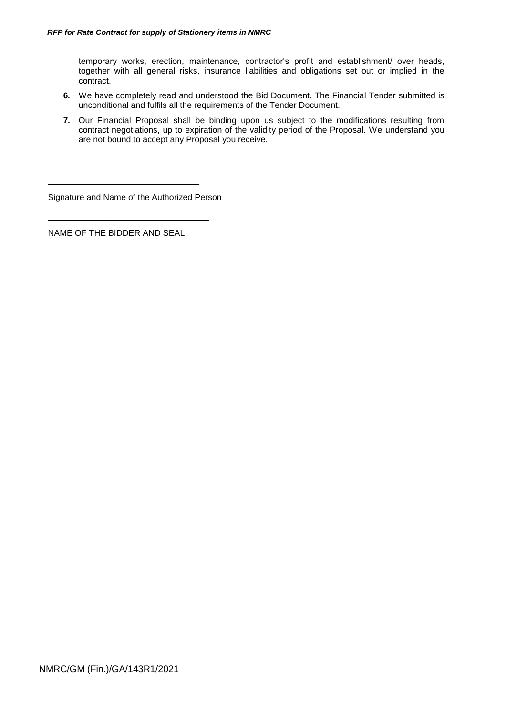temporary works, erection, maintenance, contractor's profit and establishment/ over heads, together with all general risks, insurance liabilities and obligations set out or implied in the contract.

- **6.** We have completely read and understood the Bid Document. The Financial Tender submitted is unconditional and fulfils all the requirements of the Tender Document.
- **7.** Our Financial Proposal shall be binding upon us subject to the modifications resulting from contract negotiations, up to expiration of the validity period of the Proposal. We understand you are not bound to accept any Proposal you receive.

Signature and Name of the Authorized Person

NAME OF THE BIDDER AND SEAL